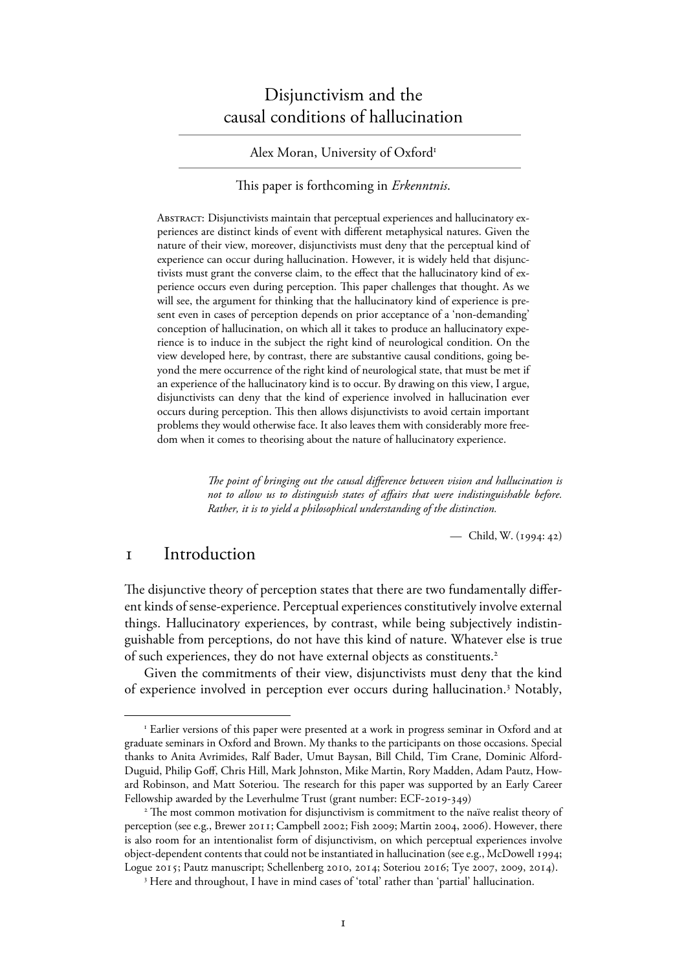# Disjunctivism and the causal conditions of hallucination

### Alex Moran, University of Oxford<sup>1</sup>

### This paper is forthcoming in *Erkenntnis*.

ABSTRACT: Disjunctivists maintain that perceptual experiences and hallucinatory experiences are distinct kinds of event with different metaphysical natures. Given the nature of their view, moreover, disjunctivists must deny that the perceptual kind of experience can occur during hallucination. However, it is widely held that disjunctivists must grant the converse claim, to the effect that the hallucinatory kind of experience occurs even during perception. This paper challenges that thought. As we will see, the argument for thinking that the hallucinatory kind of experience is present even in cases of perception depends on prior acceptance of a 'non-demanding' conception of hallucination, on which all it takes to produce an hallucinatory experience is to induce in the subject the right kind of neurological condition. On the view developed here, by contrast, there are substantive causal conditions, going beyond the mere occurrence of the right kind of neurological state, that must be met if an experience of the hallucinatory kind is to occur. By drawing on this view, I argue, disjunctivists can deny that the kind of experience involved in hallucination ever occurs during perception. This then allows disjunctivists to avoid certain important problems they would otherwise face. It also leaves them with considerably more freedom when it comes to theorising about the nature of hallucinatory experience.

> *The point of bringing out the causal difference between vision and hallucination is not to allow us to distinguish states of affairs that were indistinguishable before. Rather, it is to yield a philosophical understanding of the distinction.*

> > — Child, W.  $(1994:42)$

## Introduction

The disjunctive theory of perception states that there are two fundamentally different kinds of sense-experience. Perceptual experiences constitutively involve external things. Hallucinatory experiences, by contrast, while being subjectively indistinguishable from perceptions, do not have this kind of nature. Whatever else is true of such experiences, they do not have external objects as constituents.<sup>2</sup>

 Given the commitments of their view, disjunctivists must deny that the kind of experience involved in perception ever occurs during hallucination.<sup>3</sup> Notably,

<sup>&</sup>lt;sup>1</sup> Earlier versions of this paper were presented at a work in progress seminar in Oxford and at graduate seminars in Oxford and Brown. My thanks to the participants on those occasions. Special thanks to Anita Avrimides, Ralf Bader, Umut Baysan, Bill Child, Tim Crane, Dominic Alford-Duguid, Philip Goff, Chris Hill, Mark Johnston, Mike Martin, Rory Madden, Adam Pautz, Howard Robinson, and Matt Soteriou. The research for this paper was supported by an Early Career Fellowship awarded by the Leverhulme Trust (grant number: ECF-2019-349)

<sup>&</sup>lt;sup>2</sup> The most common motivation for disjunctivism is commitment to the naïve realist theory of perception (see e.g., Brewer 2011; Campbell 2002; Fish 2009; Martin 2004, 2006). However, there is also room for an intentionalist form of disjunctivism, on which perceptual experiences involve object-dependent contents that could not be instantiated in hallucination (see e.g., McDowell 1994; Logue 2015; Pautz manuscript; Schellenberg 2010, 2014; Soteriou 2016; Tye 2007, 2009, 2014).

<sup>&</sup>lt;sup>3</sup> Here and throughout, I have in mind cases of 'total' rather than 'partial' hallucination.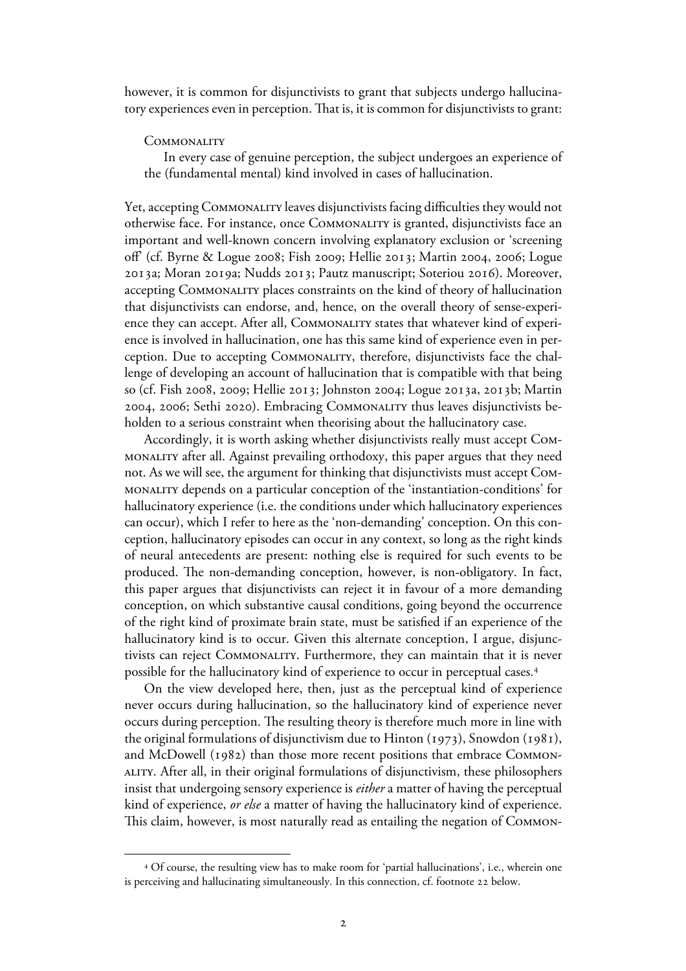however, it is common for disjunctivists to grant that subjects undergo hallucinatory experiences even in perception. That is, it is common for disjunctivists to grant:

#### **COMMONALITY**

In every case of genuine perception, the subject undergoes an experience of the (fundamental mental) kind involved in cases of hallucination.

Yet, accepting COMMONALITY leaves disjunctivists facing difficulties they would not otherwise face. For instance, once Commonality is granted, disjunctivists face an important and well-known concern involving explanatory exclusion or 'screening off' (cf. Byrne & Logue 2008; Fish 2009; Hellie 2013; Martin 2004, 2006; Logue 2013a; Moran 2019a; Nudds 2013; Pautz manuscript; Soteriou 2016). Moreover, accepting Commonality places constraints on the kind of theory of hallucination that disjunctivists can endorse, and, hence, on the overall theory of sense-experience they can accept. After all, Commonality states that whatever kind of experience is involved in hallucination, one has this same kind of experience even in perception. Due to accepting Commonality, therefore, disjunctivists face the challenge of developing an account of hallucination that is compatible with that being so (cf. Fish 2008, 2009; Hellie 2013; Johnston 2004; Logue 2013a, 2013b; Martin 2004, 2006; Sethi 2020). Embracing COMMONALITY thus leaves disjunctivists beholden to a serious constraint when theorising about the hallucinatory case.

 Accordingly, it is worth asking whether disjunctivists really must accept Commonality after all. Against prevailing orthodoxy, this paper argues that they need not. As we will see, the argument for thinking that disjunctivists must accept Commonality depends on a particular conception of the 'instantiation-conditions' for hallucinatory experience (i.e. the conditions under which hallucinatory experiences can occur), which I refer to here as the 'non-demanding' conception. On this conception, hallucinatory episodes can occur in any context, so long as the right kinds of neural antecedents are present: nothing else is required for such events to be produced. The non-demanding conception, however, is non-obligatory. In fact, this paper argues that disjunctivists can reject it in favour of a more demanding conception, on which substantive causal conditions, going beyond the occurrence of the right kind of proximate brain state, must be satisfied if an experience of the hallucinatory kind is to occur. Given this alternate conception, I argue, disjunctivists can reject Commonality. Furthermore, they can maintain that it is never possible for the hallucinatory kind of experience to occur in perceptual cases. 4

On the view developed here, then, just as the perceptual kind of experience never occurs during hallucination, so the hallucinatory kind of experience never occurs during perception. The resulting theory is therefore much more in line with the original formulations of disjunctivism due to Hinton (1973), Snowdon (1981), and McDowell (1982) than those more recent positions that embrace COMMONality. After all, in their original formulations of disjunctivism, these philosophers insist that undergoing sensory experience is *either* a matter of having the perceptual kind of experience, *or else* a matter of having the hallucinatory kind of experience. This claim, however, is most naturally read as entailing the negation of Common-

<sup>4</sup> Of course, the resulting view has to make room for 'partial hallucinations', i.e., wherein one is perceiving and hallucinating simultaneously. In this connection, cf. footnote 22 below.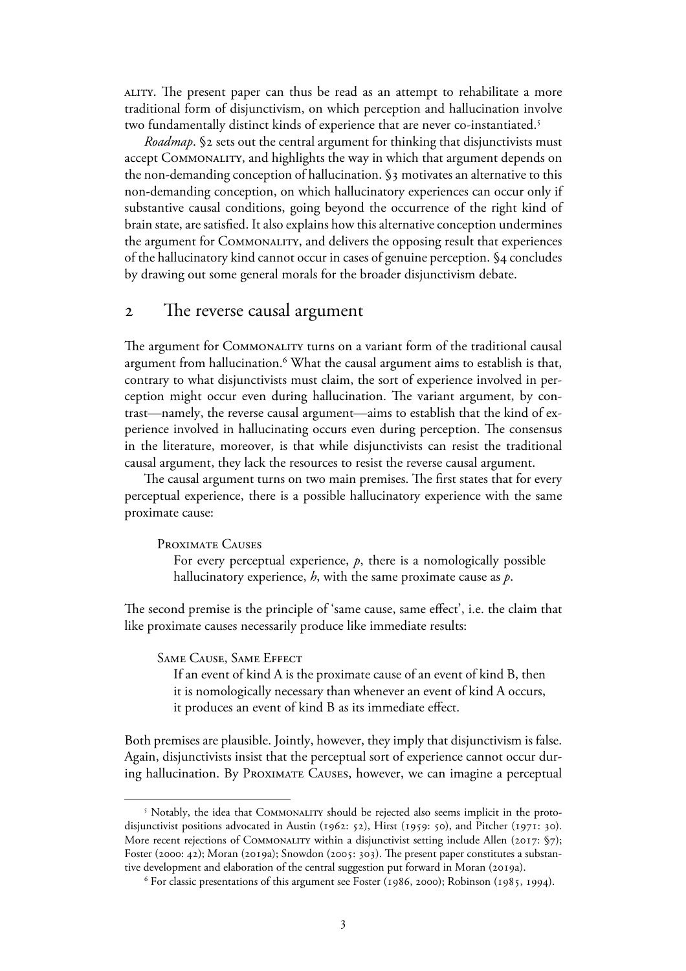ality. The present paper can thus be read as an attempt to rehabilitate a more traditional form of disjunctivism, on which perception and hallucination involve two fundamentally distinct kinds of experience that are never co-instantiated.<sup>5</sup>

*Roadmap*. § sets out the central argument for thinking that disjunctivists must accept Commonality, and highlights the way in which that argument depends on the non-demanding conception of hallucination. §3 motivates an alternative to this non-demanding conception, on which hallucinatory experiences can occur only if substantive causal conditions, going beyond the occurrence of the right kind of brain state, are satisfied. It also explains how this alternative conception undermines the argument for Commonality, and delivers the opposing result that experiences of the hallucinatory kind cannot occur in cases of genuine perception. §4 concludes by drawing out some general morals for the broader disjunctivism debate.

## The reverse causal argument

The argument for COMMONALITY turns on a variant form of the traditional causal argument from hallucination.<sup>6</sup> What the causal argument aims to establish is that, contrary to what disjunctivists must claim, the sort of experience involved in perception might occur even during hallucination. The variant argument, by contrast—namely, the reverse causal argument—aims to establish that the kind of experience involved in hallucinating occurs even during perception. The consensus in the literature, moreover, is that while disjunctivists can resist the traditional causal argument, they lack the resources to resist the reverse causal argument.

The causal argument turns on two main premises. The first states that for every perceptual experience, there is a possible hallucinatory experience with the same proximate cause:

Proximate Causes

For every perceptual experience,  $p$ , there is a nomologically possible hallucinatory experience, *h*, with the same proximate cause as *p*.

The second premise is the principle of 'same cause, same effect', i.e. the claim that like proximate causes necessarily produce like immediate results:

Same Cause, Same Effect

If an event of kind A is the proximate cause of an event of kind B, then it is nomologically necessary than whenever an event of kind A occurs, it produces an event of kind B as its immediate effect.

Both premises are plausible. Jointly, however, they imply that disjunctivism is false. Again, disjunctivists insist that the perceptual sort of experience cannot occur during hallucination. By Proximate Causes, however, we can imagine a perceptual

<sup>&</sup>lt;sup>5</sup> Notably, the idea that COMMONALITY should be rejected also seems implicit in the protodisjunctivist positions advocated in Austin (1962:  $52$ ), Hirst (1959:  $50$ ), and Pitcher (1971:  $30$ ). More recent rejections of COMMONALITY within a disjunctivist setting include Allen (2017:  $\S$ 7); Foster (2000: 42); Moran (2019a); Snowdon (2005: 303). The present paper constitutes a substantive development and elaboration of the central suggestion put forward in Moran (2019a).

 $6$  For classic presentations of this argument see Foster (1986, 2000); Robinson (1985, 1994).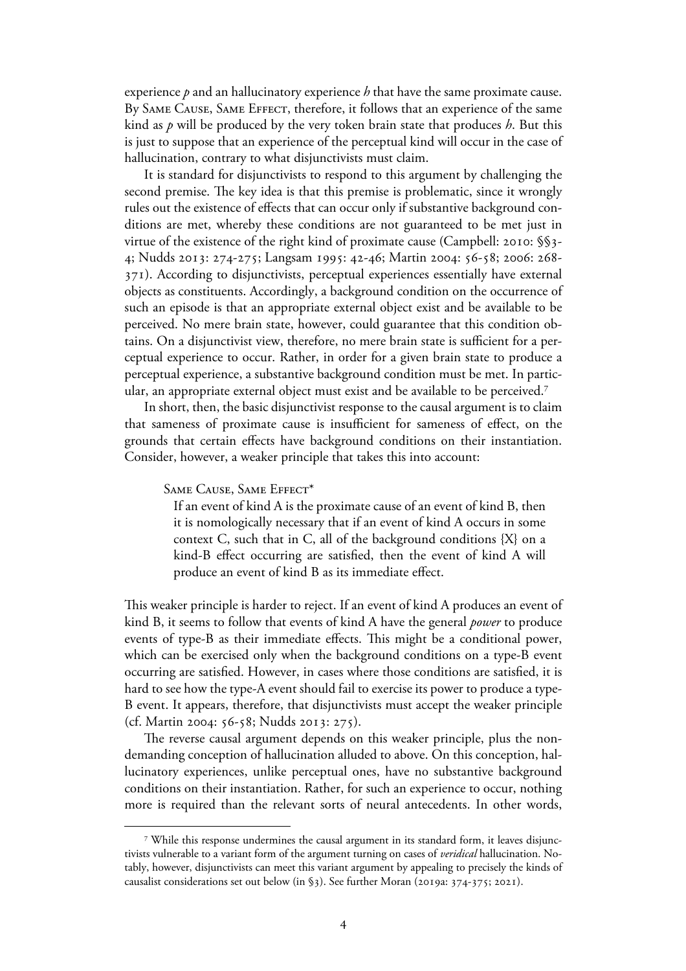experience *p* and an hallucinatory experience *h* that have the same proximate cause. By SAME CAUSE, SAME EFFECT, therefore, it follows that an experience of the same kind as *p* will be produced by the very token brain state that produces *h*. But this is just to suppose that an experience of the perceptual kind will occur in the case of hallucination, contrary to what disjunctivists must claim.

 It is standard for disjunctivists to respond to this argument by challenging the second premise. The key idea is that this premise is problematic, since it wrongly rules out the existence of effects that can occur only if substantive background conditions are met, whereby these conditions are not guaranteed to be met just in virtue of the existence of the right kind of proximate cause (Campbell: 2010: §§3-4; Nudds 2013: 274-275; Langsam 1995: 42-46; Martin 2004: 56-58; 2006: 268-). According to disjunctivists, perceptual experiences essentially have external objects as constituents. Accordingly, a background condition on the occurrence of such an episode is that an appropriate external object exist and be available to be perceived. No mere brain state, however, could guarantee that this condition obtains. On a disjunctivist view, therefore, no mere brain state is sufficient for a perceptual experience to occur. Rather, in order for a given brain state to produce a perceptual experience, a substantive background condition must be met. In particular, an appropriate external object must exist and be available to be perceived.<sup>7</sup>

In short, then, the basic disjunctivist response to the causal argument is to claim that sameness of proximate cause is insufficient for sameness of effect, on the grounds that certain effects have background conditions on their instantiation. Consider, however, a weaker principle that takes this into account:

### Same Cause, Same Effect\*

If an event of kind A is the proximate cause of an event of kind B, then it is nomologically necessary that if an event of kind A occurs in some context C, such that in C, all of the background conditions {X} on a kind-B effect occurring are satisfied, then the event of kind A will produce an event of kind B as its immediate effect.

This weaker principle is harder to reject. If an event of kind A produces an event of kind B, it seems to follow that events of kind A have the general *power* to produce events of type-B as their immediate effects. This might be a conditional power, which can be exercised only when the background conditions on a type-B event occurring are satisfied. However, in cases where those conditions are satisfied, it is hard to see how the type-A event should fail to exercise its power to produce a type-B event. It appears, therefore, that disjunctivists must accept the weaker principle (cf. Martin 2004: 56-58; Nudds 2013: 275).

 The reverse causal argument depends on this weaker principle, plus the nondemanding conception of hallucination alluded to above. On this conception, hallucinatory experiences, unlike perceptual ones, have no substantive background conditions on their instantiation. Rather, for such an experience to occur, nothing more is required than the relevant sorts of neural antecedents. In other words,

<sup>7</sup> While this response undermines the causal argument in its standard form, it leaves disjunctivists vulnerable to a variant form of the argument turning on cases of *veridical* hallucination. Notably, however, disjunctivists can meet this variant argument by appealing to precisely the kinds of causalist considerations set out below (in §3). See further Moran (2019a:  $374-375$ ; 2021).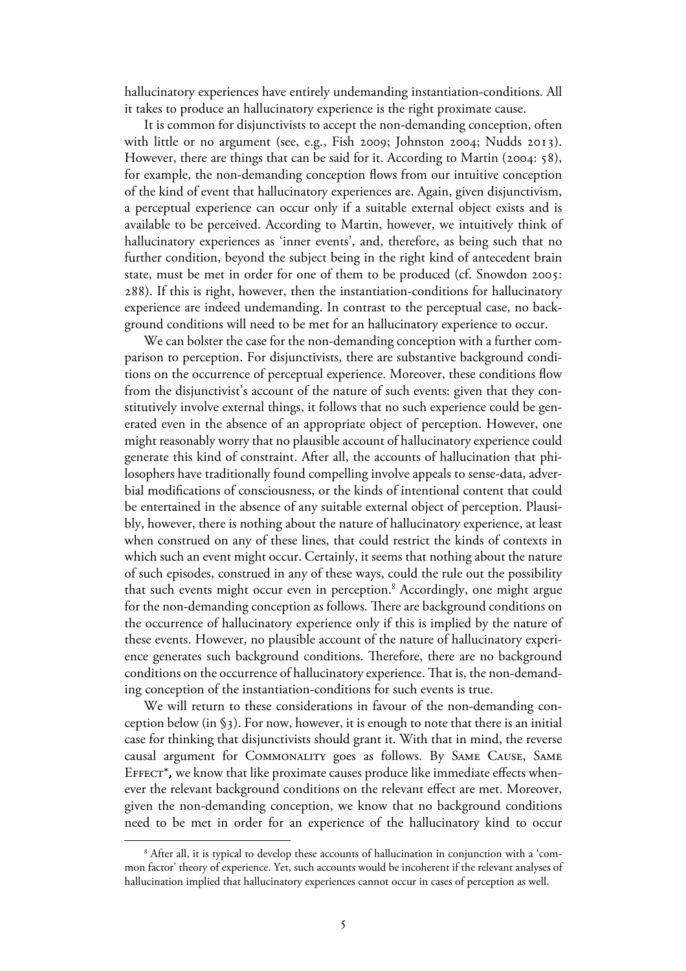hallucinatory experiences have entirely undemanding instantiation-conditions. All it takes to produce an hallucinatory experience is the right proximate cause.

 It is common for disjunctivists to accept the non-demanding conception, often with little or no argument (see, e.g., Fish 2009; Johnston 2004; Nudds 2013). However, there are things that can be said for it. According to Martin (2004:  $\{8\}$ ), for example, the non-demanding conception flows from our intuitive conception of the kind of event that hallucinatory experiences are. Again, given disjunctivism, a perceptual experience can occur only if a suitable external object exists and is available to be perceived. According to Martin, however, we intuitively think of hallucinatory experiences as 'inner events', and, therefore, as being such that no further condition, beyond the subject being in the right kind of antecedent brain state, must be met in order for one of them to be produced (cf. Snowdon 2005: ). If this is right, however, then the instantiation-conditions for hallucinatory experience are indeed undemanding. In contrast to the perceptual case, no background conditions will need to be met for an hallucinatory experience to occur.

We can bolster the case for the non-demanding conception with a further comparison to perception. For disjunctivists, there are substantive background conditions on the occurrence of perceptual experience. Moreover, these conditions flow from the disjunctivist's account of the nature of such events: given that they constitutively involve external things, it follows that no such experience could be generated even in the absence of an appropriate object of perception. However, one might reasonably worry that no plausible account of hallucinatory experience could generate this kind of constraint. After all, the accounts of hallucination that philosophers have traditionally found compelling involve appeals to sense-data, adverbial modifications of consciousness, or the kinds of intentional content that could be entertained in the absence of any suitable external object of perception. Plausibly, however, there is nothing about the nature of hallucinatory experience, at least when construed on any of these lines, that could restrict the kinds of contexts in which such an event might occur. Certainly, it seems that nothing about the nature of such episodes, construed in any of these ways, could the rule out the possibility that such events might occur even in perception.<sup>8</sup> Accordingly, one might argue for the non-demanding conception as follows. There are background conditions on the occurrence of hallucinatory experience only if this is implied by the nature of these events. However, no plausible account of the nature of hallucinatory experience generates such background conditions. Therefore, there are no background conditions on the occurrence of hallucinatory experience. That is, the non-demanding conception of the instantiation-conditions for such events is true.

We will return to these considerations in favour of the non-demanding conception below (in §). For now, however, it is enough to note that there is an initial case for thinking that disjunctivists should grant it. With that in mind, the reverse causal argument for Commonality goes as follows. By Same Cause, Same Effect\**,* we know that like proximate causes produce like immediate effects whenever the relevant background conditions on the relevant effect are met. Moreover, given the non-demanding conception, we know that no background conditions need to be met in order for an experience of the hallucinatory kind to occur

<sup>8</sup> After all, it is typical to develop these accounts of hallucination in conjunction with a 'common factor' theory of experience. Yet, such accounts would be incoherent if the relevant analyses of hallucination implied that hallucinatory experiences cannot occur in cases of perception as well.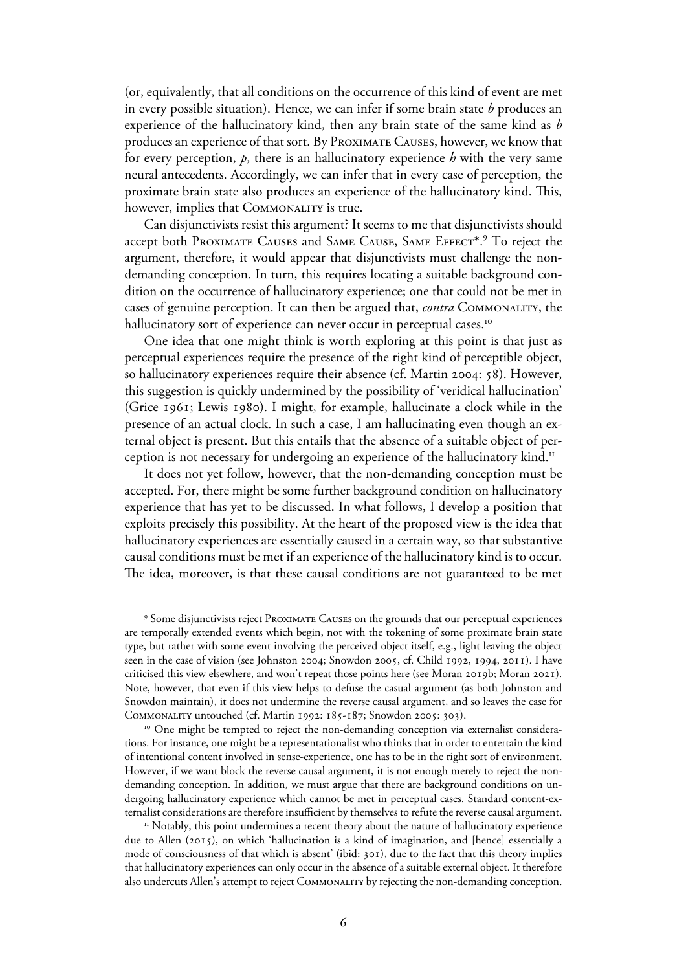(or, equivalently, that all conditions on the occurrence of this kind of event are met in every possible situation). Hence, we can infer if some brain state *b* produces an experience of the hallucinatory kind, then any brain state of the same kind as *b* produces an experience of that sort. By Proximate Causes, however, we know that for every perception, *p*, there is an hallucinatory experience *h* with the very same neural antecedents. Accordingly, we can infer that in every case of perception, the proximate brain state also produces an experience of the hallucinatory kind. This, however, implies that COMMONALITY is true.

 Can disjunctivists resist this argument? It seems to me that disjunctivists should accept both Proximate Causes and Same Cause, Same Effect\*.<sup>9</sup> To reject the argument, therefore, it would appear that disjunctivists must challenge the nondemanding conception. In turn, this requires locating a suitable background condition on the occurrence of hallucinatory experience; one that could not be met in cases of genuine perception. It can then be argued that, *contra* Commonality, the hallucinatory sort of experience can never occur in perceptual cases.<sup>10</sup>

 One idea that one might think is worth exploring at this point is that just as perceptual experiences require the presence of the right kind of perceptible object, so hallucinatory experiences require their absence (cf. Martin 2004: 58). However, this suggestion is quickly undermined by the possibility of 'veridical hallucination' (Grice  $1961$ ; Lewis  $1980$ ). I might, for example, hallucinate a clock while in the presence of an actual clock. In such a case, I am hallucinating even though an external object is present. But this entails that the absence of a suitable object of perception is not necessary for undergoing an experience of the hallucinatory kind.<sup>11</sup>

It does not yet follow, however, that the non-demanding conception must be accepted. For, there might be some further background condition on hallucinatory experience that has yet to be discussed. In what follows, I develop a position that exploits precisely this possibility. At the heart of the proposed view is the idea that hallucinatory experiences are essentially caused in a certain way, so that substantive causal conditions must be met if an experience of the hallucinatory kind is to occur. The idea, moreover, is that these causal conditions are not guaranteed to be met

<sup>9</sup> Some disjunctivists reject Proximate Causes on the grounds that our perceptual experiences are temporally extended events which begin, not with the tokening of some proximate brain state type, but rather with some event involving the perceived object itself, e.g., light leaving the object seen in the case of vision (see Johnston 2004; Snowdon 2005, cf. Child 1992, 1994, 2011). I have criticised this view elsewhere, and won't repeat those points here (see Moran 2019b; Moran 2021). Note, however, that even if this view helps to defuse the casual argument (as both Johnston and Snowdon maintain), it does not undermine the reverse causal argument, and so leaves the case for COMMONALITY untouched (cf. Martin 1992: 185-187; Snowdon 2005: 303).

<sup>&</sup>lt;sup>10</sup> One might be tempted to reject the non-demanding conception via externalist considerations. For instance, one might be a representationalist who thinks that in order to entertain the kind of intentional content involved in sense-experience, one has to be in the right sort of environment. However, if we want block the reverse causal argument, it is not enough merely to reject the nondemanding conception. In addition, we must argue that there are background conditions on undergoing hallucinatory experience which cannot be met in perceptual cases. Standard content-externalist considerations are therefore insufficient by themselves to refute the reverse causal argument.

 $11$  Notably, this point undermines a recent theory about the nature of hallucinatory experience due to Allen (2015), on which 'hallucination is a kind of imagination, and [hence] essentially a mode of consciousness of that which is absent' (ibid: 301), due to the fact that this theory implies that hallucinatory experiences can only occur in the absence of a suitable external object. It therefore also undercuts Allen's attempt to reject Commonality by rejecting the non-demanding conception.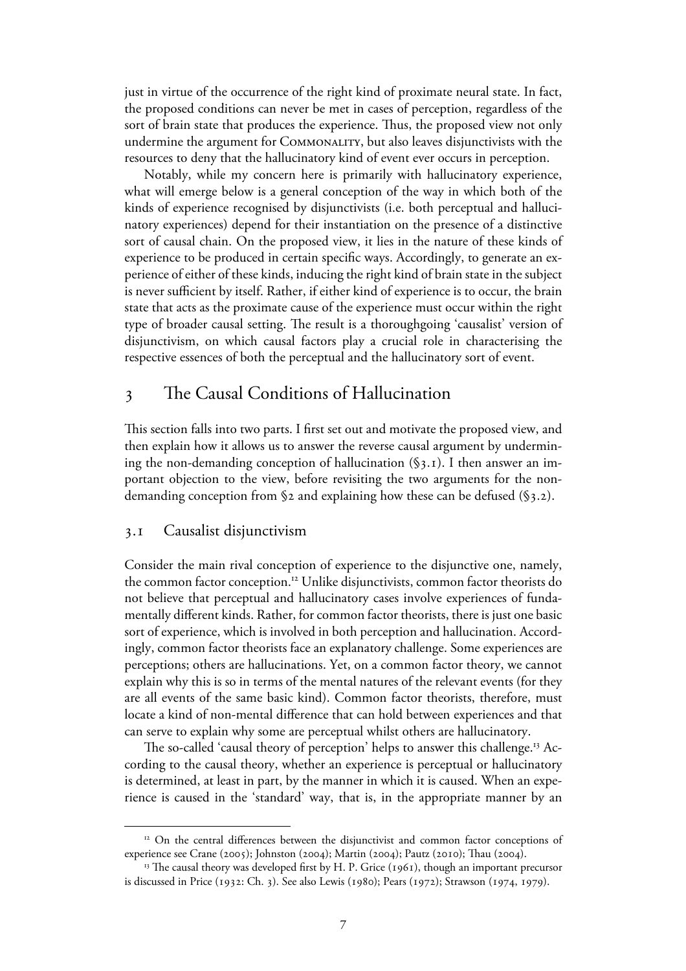just in virtue of the occurrence of the right kind of proximate neural state. In fact, the proposed conditions can never be met in cases of perception, regardless of the sort of brain state that produces the experience. Thus, the proposed view not only undermine the argument for Commonality, but also leaves disjunctivists with the resources to deny that the hallucinatory kind of event ever occurs in perception.

Notably, while my concern here is primarily with hallucinatory experience, what will emerge below is a general conception of the way in which both of the kinds of experience recognised by disjunctivists (i.e. both perceptual and hallucinatory experiences) depend for their instantiation on the presence of a distinctive sort of causal chain. On the proposed view, it lies in the nature of these kinds of experience to be produced in certain specific ways. Accordingly, to generate an experience of either of these kinds, inducing the right kind of brain state in the subject is never sufficient by itself. Rather, if either kind of experience is to occur, the brain state that acts as the proximate cause of the experience must occur within the right type of broader causal setting. The result is a thoroughgoing 'causalist' version of disjunctivism, on which causal factors play a crucial role in characterising the respective essences of both the perceptual and the hallucinatory sort of event.

# The Causal Conditions of Hallucination

This section falls into two parts. I first set out and motivate the proposed view, and then explain how it allows us to answer the reverse causal argument by undermining the non-demanding conception of hallucination  $(\S_3, \mathbf{I})$ . I then answer an important objection to the view, before revisiting the two arguments for the nondemanding conception from  $\S$ 2 and explaining how these can be defused ( $\S$ 3.2).

### . Causalist disjunctivism

Consider the main rival conception of experience to the disjunctive one, namely, the common factor conception.<sup>12</sup> Unlike disjunctivists, common factor theorists do not believe that perceptual and hallucinatory cases involve experiences of fundamentally different kinds. Rather, for common factor theorists, there is just one basic sort of experience, which is involved in both perception and hallucination. Accordingly, common factor theorists face an explanatory challenge. Some experiences are perceptions; others are hallucinations. Yet, on a common factor theory, we cannot explain why this is so in terms of the mental natures of the relevant events (for they are all events of the same basic kind). Common factor theorists, therefore, must locate a kind of non-mental difference that can hold between experiences and that can serve to explain why some are perceptual whilst others are hallucinatory.

The so-called 'causal theory of perception' helps to answer this challenge.<sup>13</sup> According to the causal theory, whether an experience is perceptual or hallucinatory is determined, at least in part, by the manner in which it is caused. When an experience is caused in the 'standard' way, that is, in the appropriate manner by an

<sup>&</sup>lt;sup>12</sup> On the central differences between the disjunctivist and common factor conceptions of experience see Crane (2005); Johnston (2004); Martin (2004); Pautz (2010); Thau (2004).

 $13$  The causal theory was developed first by H. P. Grice (1961), though an important precursor is discussed in Price  $(1932:$  Ch. 3). See also Lewis ( $1980$ ); Pears ( $1972$ ); Strawson ( $1974$ ,  $1979$ ).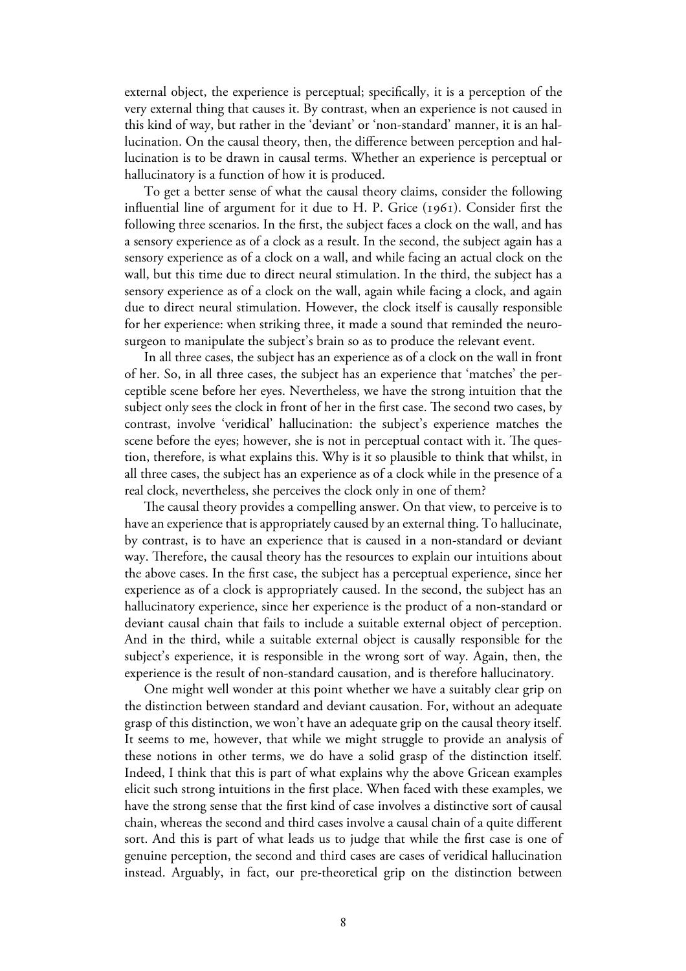external object, the experience is perceptual; specifically, it is a perception of the very external thing that causes it. By contrast, when an experience is not caused in this kind of way, but rather in the 'deviant' or 'non-standard' manner, it is an hallucination. On the causal theory, then, the difference between perception and hallucination is to be drawn in causal terms. Whether an experience is perceptual or hallucinatory is a function of how it is produced.

To get a better sense of what the causal theory claims, consider the following influential line of argument for it due to H. P. Grice  $(1961)$ . Consider first the following three scenarios. In the first, the subject faces a clock on the wall, and has a sensory experience as of a clock as a result. In the second, the subject again has a sensory experience as of a clock on a wall, and while facing an actual clock on the wall, but this time due to direct neural stimulation. In the third, the subject has a sensory experience as of a clock on the wall, again while facing a clock, and again due to direct neural stimulation. However, the clock itself is causally responsible for her experience: when striking three, it made a sound that reminded the neurosurgeon to manipulate the subject's brain so as to produce the relevant event.

 In all three cases, the subject has an experience as of a clock on the wall in front of her. So, in all three cases, the subject has an experience that 'matches' the perceptible scene before her eyes. Nevertheless, we have the strong intuition that the subject only sees the clock in front of her in the first case. The second two cases, by contrast, involve 'veridical' hallucination: the subject's experience matches the scene before the eyes; however, she is not in perceptual contact with it. The question, therefore, is what explains this. Why is it so plausible to think that whilst, in all three cases, the subject has an experience as of a clock while in the presence of a real clock, nevertheless, she perceives the clock only in one of them?

 The causal theory provides a compelling answer. On that view, to perceive is to have an experience that is appropriately caused by an external thing. To hallucinate, by contrast, is to have an experience that is caused in a non-standard or deviant way. Therefore, the causal theory has the resources to explain our intuitions about the above cases. In the first case, the subject has a perceptual experience, since her experience as of a clock is appropriately caused. In the second, the subject has an hallucinatory experience, since her experience is the product of a non-standard or deviant causal chain that fails to include a suitable external object of perception. And in the third, while a suitable external object is causally responsible for the subject's experience, it is responsible in the wrong sort of way. Again, then, the experience is the result of non-standard causation, and is therefore hallucinatory.

One might well wonder at this point whether we have a suitably clear grip on the distinction between standard and deviant causation. For, without an adequate grasp of this distinction, we won't have an adequate grip on the causal theory itself. It seems to me, however, that while we might struggle to provide an analysis of these notions in other terms, we do have a solid grasp of the distinction itself. Indeed, I think that this is part of what explains why the above Gricean examples elicit such strong intuitions in the first place. When faced with these examples, we have the strong sense that the first kind of case involves a distinctive sort of causal chain, whereas the second and third cases involve a causal chain of a quite different sort. And this is part of what leads us to judge that while the first case is one of genuine perception, the second and third cases are cases of veridical hallucination instead. Arguably, in fact, our pre-theoretical grip on the distinction between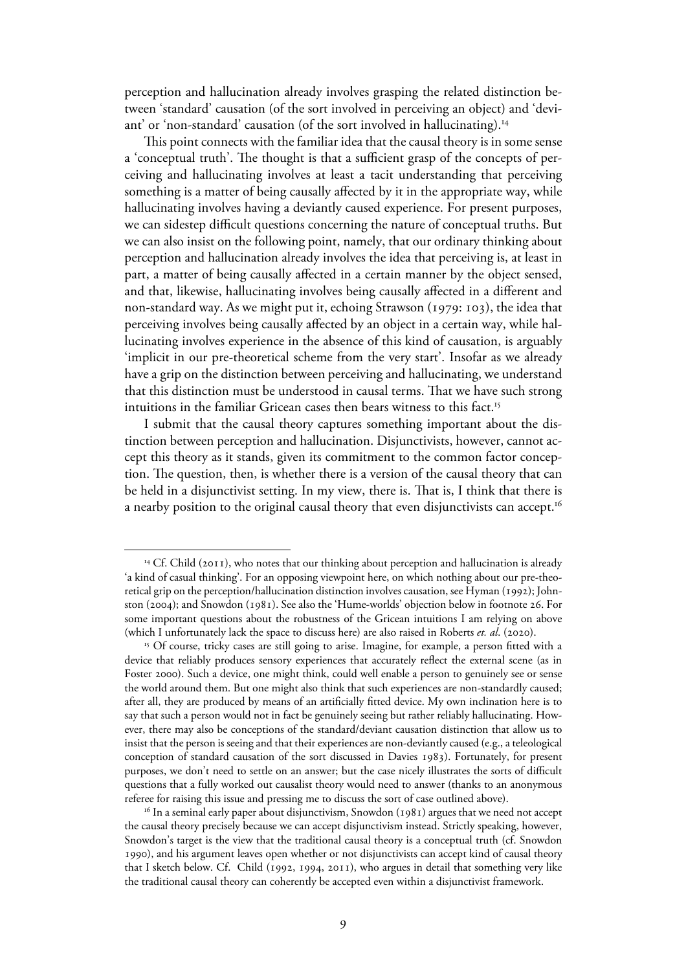perception and hallucination already involves grasping the related distinction between 'standard' causation (of the sort involved in perceiving an object) and 'deviant' or 'non-standard' causation (of the sort involved in hallucinating).<sup>14</sup>

 This point connects with the familiar idea that the causal theory is in some sense a 'conceptual truth'. The thought is that a sufficient grasp of the concepts of perceiving and hallucinating involves at least a tacit understanding that perceiving something is a matter of being causally affected by it in the appropriate way, while hallucinating involves having a deviantly caused experience. For present purposes, we can sidestep difficult questions concerning the nature of conceptual truths. But we can also insist on the following point, namely, that our ordinary thinking about perception and hallucination already involves the idea that perceiving is, at least in part, a matter of being causally affected in a certain manner by the object sensed, and that, likewise, hallucinating involves being causally affected in a different and non-standard way. As we might put it, echoing Strawson (1979: 103), the idea that perceiving involves being causally affected by an object in a certain way, while hallucinating involves experience in the absence of this kind of causation, is arguably 'implicit in our pre-theoretical scheme from the very start'. Insofar as we already have a grip on the distinction between perceiving and hallucinating, we understand that this distinction must be understood in causal terms. That we have such strong intuitions in the familiar Gricean cases then bears witness to this fact.<sup>15</sup>

 I submit that the causal theory captures something important about the distinction between perception and hallucination. Disjunctivists, however, cannot accept this theory as it stands, given its commitment to the common factor conception. The question, then, is whether there is a version of the causal theory that can be held in a disjunctivist setting. In my view, there is. That is, I think that there is a nearby position to the original causal theory that even disjunctivists can accept.<sup>16</sup>

<sup>&</sup>lt;sup>14</sup> Cf. Child (2011), who notes that our thinking about perception and hallucination is already 'a kind of casual thinking'. For an opposing viewpoint here, on which nothing about our pre-theoretical grip on the perception/hallucination distinction involves causation, see Hyman (1992); Johnston (2004); and Snowdon (1981). See also the 'Hume-worlds' objection below in footnote 26. For some important questions about the robustness of the Gricean intuitions I am relying on above (which I unfortunately lack the space to discuss here) are also raised in Roberts *et. al.* (2020).

<sup>&</sup>lt;sup>15</sup> Of course, tricky cases are still going to arise. Imagine, for example, a person fitted with a device that reliably produces sensory experiences that accurately reflect the external scene (as in Foster 2000). Such a device, one might think, could well enable a person to genuinely see or sense the world around them. But one might also think that such experiences are non-standardly caused; after all, they are produced by means of an artificially fitted device. My own inclination here is to say that such a person would not in fact be genuinely seeing but rather reliably hallucinating. However, there may also be conceptions of the standard/deviant causation distinction that allow us to insist that the person is seeing and that their experiences are non-deviantly caused (e.g., a teleological conception of standard causation of the sort discussed in Davies 1983). Fortunately, for present purposes, we don't need to settle on an answer; but the case nicely illustrates the sorts of difficult questions that a fully worked out causalist theory would need to answer (thanks to an anonymous referee for raising this issue and pressing me to discuss the sort of case outlined above).

 $16$  In a seminal early paper about disjunctivism, Snowdon (1981) argues that we need not accept the causal theory precisely because we can accept disjunctivism instead. Strictly speaking, however, Snowdon's target is the view that the traditional causal theory is a conceptual truth (cf. Snowdon ), and his argument leaves open whether or not disjunctivists can accept kind of causal theory that I sketch below. Cf. Child (1992, 1994, 2011), who argues in detail that something very like the traditional causal theory can coherently be accepted even within a disjunctivist framework.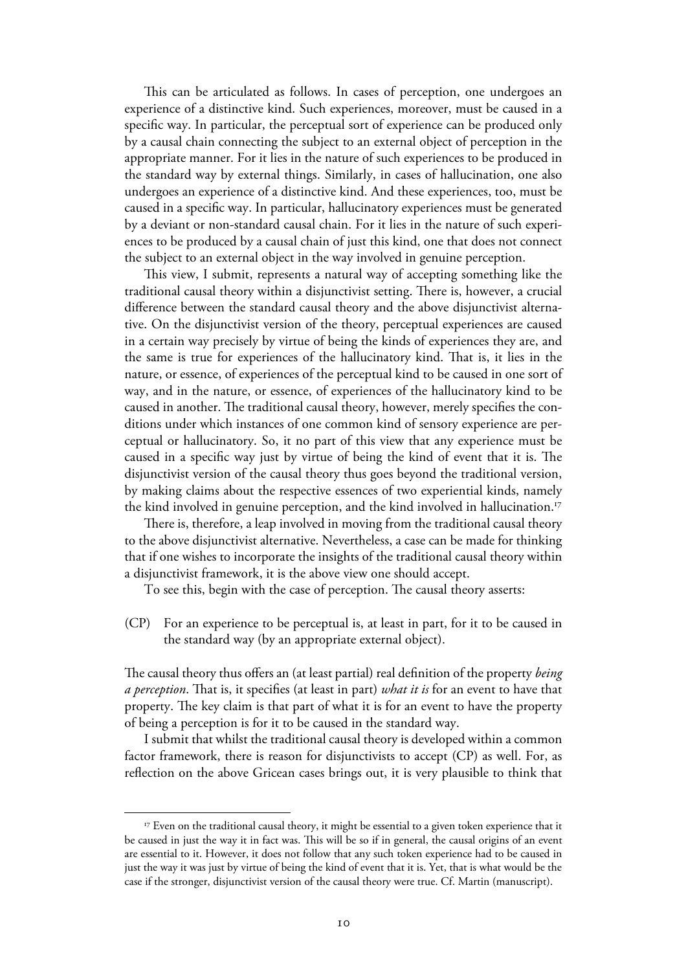This can be articulated as follows. In cases of perception, one undergoes an experience of a distinctive kind. Such experiences, moreover, must be caused in a specific way. In particular, the perceptual sort of experience can be produced only by a causal chain connecting the subject to an external object of perception in the appropriate manner. For it lies in the nature of such experiences to be produced in the standard way by external things. Similarly, in cases of hallucination, one also undergoes an experience of a distinctive kind. And these experiences, too, must be caused in a specific way. In particular, hallucinatory experiences must be generated by a deviant or non-standard causal chain. For it lies in the nature of such experiences to be produced by a causal chain of just this kind, one that does not connect the subject to an external object in the way involved in genuine perception.

 This view, I submit, represents a natural way of accepting something like the traditional causal theory within a disjunctivist setting. There is, however, a crucial difference between the standard causal theory and the above disjunctivist alternative. On the disjunctivist version of the theory, perceptual experiences are caused in a certain way precisely by virtue of being the kinds of experiences they are, and the same is true for experiences of the hallucinatory kind. That is, it lies in the nature, or essence, of experiences of the perceptual kind to be caused in one sort of way, and in the nature, or essence, of experiences of the hallucinatory kind to be caused in another. The traditional causal theory, however, merely specifies the conditions under which instances of one common kind of sensory experience are perceptual or hallucinatory. So, it no part of this view that any experience must be caused in a specific way just by virtue of being the kind of event that it is. The disjunctivist version of the causal theory thus goes beyond the traditional version, by making claims about the respective essences of two experiential kinds, namely the kind involved in genuine perception, and the kind involved in hallucination.<sup>17</sup>

There is, therefore, a leap involved in moving from the traditional causal theory to the above disjunctivist alternative. Nevertheless, a case can be made for thinking that if one wishes to incorporate the insights of the traditional causal theory within a disjunctivist framework, it is the above view one should accept.

To see this, begin with the case of perception. The causal theory asserts:

(CP) For an experience to be perceptual is, at least in part, for it to be caused in the standard way (by an appropriate external object).

The causal theory thus offers an (at least partial) real definition of the property *being a perception*. That is, it specifies (at least in part) *what it is* for an event to have that property. The key claim is that part of what it is for an event to have the property of being a perception is for it to be caused in the standard way.

 I submit that whilst the traditional causal theory is developed within a common factor framework, there is reason for disjunctivists to accept (CP) as well. For, as reflection on the above Gricean cases brings out, it is very plausible to think that

<sup>&</sup>lt;sup>17</sup> Even on the traditional causal theory, it might be essential to a given token experience that it be caused in just the way it in fact was. This will be so if in general, the causal origins of an event are essential to it. However, it does not follow that any such token experience had to be caused in just the way it was just by virtue of being the kind of event that it is. Yet, that is what would be the case if the stronger, disjunctivist version of the causal theory were true. Cf. Martin (manuscript).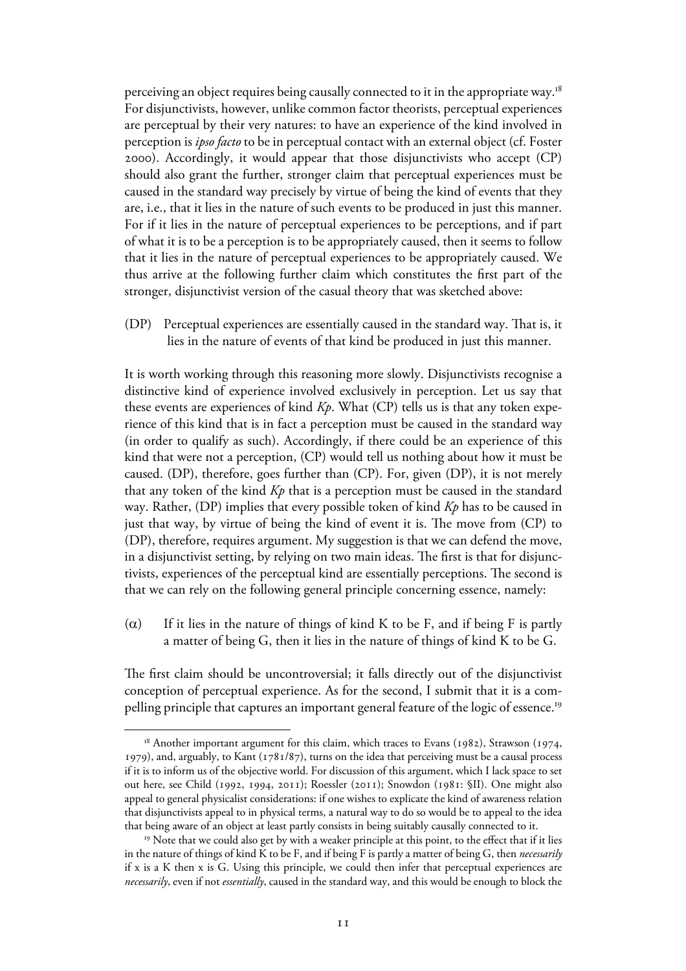perceiving an object requires being causally connected to it in the appropriate way.<sup>18</sup> For disjunctivists, however, unlike common factor theorists, perceptual experiences are perceptual by their very natures: to have an experience of the kind involved in perception is *ipso facto* to be in perceptual contact with an external object (cf. Foster ). Accordingly, it would appear that those disjunctivists who accept (CP) should also grant the further, stronger claim that perceptual experiences must be caused in the standard way precisely by virtue of being the kind of events that they are, i.e., that it lies in the nature of such events to be produced in just this manner. For if it lies in the nature of perceptual experiences to be perceptions, and if part of what it is to be a perception is to be appropriately caused, then it seems to follow that it lies in the nature of perceptual experiences to be appropriately caused. We thus arrive at the following further claim which constitutes the first part of the stronger, disjunctivist version of the casual theory that was sketched above:

(DP) Perceptual experiences are essentially caused in the standard way. That is, it lies in the nature of events of that kind be produced in just this manner.

It is worth working through this reasoning more slowly. Disjunctivists recognise a distinctive kind of experience involved exclusively in perception. Let us say that these events are experiences of kind *Kp*. What (CP) tells us is that any token experience of this kind that is in fact a perception must be caused in the standard way (in order to qualify as such). Accordingly, if there could be an experience of this kind that were not a perception, (CP) would tell us nothing about how it must be caused. (DP), therefore, goes further than (CP). For, given (DP), it is not merely that any token of the kind *Kp* that is a perception must be caused in the standard way. Rather, (DP) implies that every possible token of kind *Kp* has to be caused in just that way, by virtue of being the kind of event it is. The move from (CP) to (DP), therefore, requires argument. My suggestion is that we can defend the move, in a disjunctivist setting, by relying on two main ideas. The first is that for disjunctivists, experiences of the perceptual kind are essentially perceptions. The second is that we can rely on the following general principle concerning essence, namely:

( $\alpha$ ) If it lies in the nature of things of kind K to be F, and if being F is partly a matter of being G, then it lies in the nature of things of kind K to be G.

The first claim should be uncontroversial; it falls directly out of the disjunctivist conception of perceptual experience. As for the second, I submit that it is a compelling principle that captures an important general feature of the logic of essence.<sup>19</sup>

 $18$  Another important argument for this claim, which traces to Evans (1982), Strawson (1974, 1979), and, arguably, to Kant  $(1781/87)$ , turns on the idea that perceiving must be a causal process if it is to inform us of the objective world. For discussion of this argument, which I lack space to set out here, see Child (1992, 1994, 2011); Roessler (2011); Snowdon (1981: §II). One might also appeal to general physicalist considerations: if one wishes to explicate the kind of awareness relation that disjunctivists appeal to in physical terms, a natural way to do so would be to appeal to the idea that being aware of an object at least partly consists in being suitably causally connected to it.

<sup>&</sup>lt;sup>19</sup> Note that we could also get by with a weaker principle at this point, to the effect that if it lies in the nature of things of kind K to be F, and if being F is partly a matter of being G, then *necessarily* if x is a K then x is G. Using this principle, we could then infer that perceptual experiences are *necessarily*, even if not *essentially*, caused in the standard way, and this would be enough to block the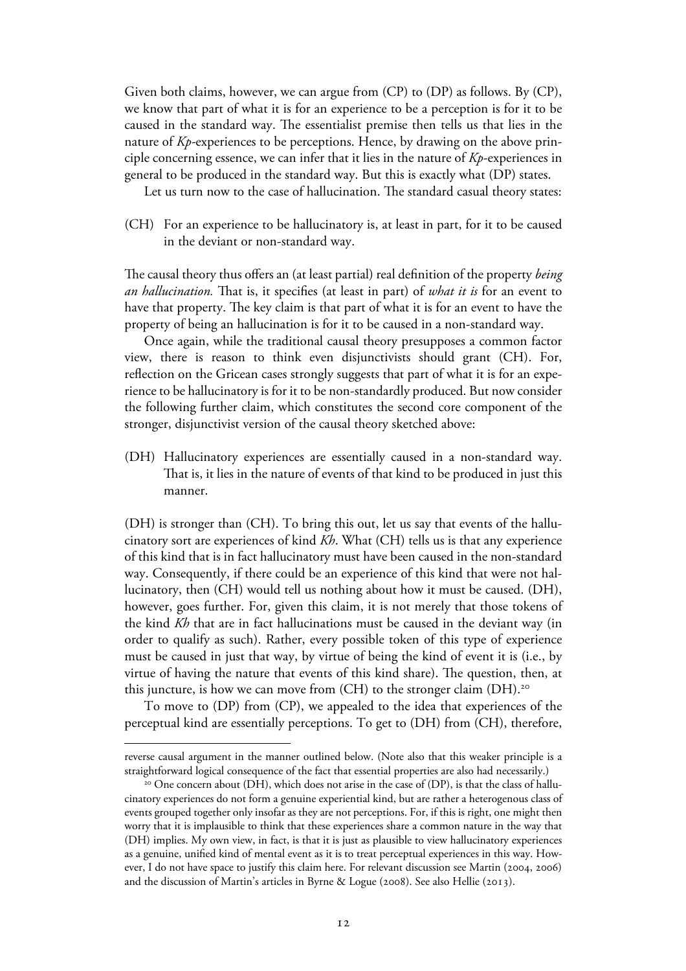Given both claims, however, we can argue from (CP) to (DP) as follows. By (CP), we know that part of what it is for an experience to be a perception is for it to be caused in the standard way. The essentialist premise then tells us that lies in the nature of *Kp-*experiences to be perceptions. Hence, by drawing on the above principle concerning essence, we can infer that it lies in the nature of *Kp*-experiences in general to be produced in the standard way. But this is exactly what (DP) states.

Let us turn now to the case of hallucination. The standard casual theory states:

(CH) For an experience to be hallucinatory is, at least in part, for it to be caused in the deviant or non-standard way.

The causal theory thus offers an (at least partial) real definition of the property *being an hallucination.* That is, it specifies (at least in part) of *what it is* for an event to have that property. The key claim is that part of what it is for an event to have the property of being an hallucination is for it to be caused in a non-standard way.

 Once again, while the traditional causal theory presupposes a common factor view, there is reason to think even disjunctivists should grant (CH). For, reflection on the Gricean cases strongly suggests that part of what it is for an experience to be hallucinatory is for it to be non-standardly produced. But now consider the following further claim, which constitutes the second core component of the stronger, disjunctivist version of the causal theory sketched above:

(DH) Hallucinatory experiences are essentially caused in a non-standard way. That is, it lies in the nature of events of that kind to be produced in just this manner.

(DH) is stronger than (CH). To bring this out, let us say that events of the hallucinatory sort are experiences of kind *Kh*. What (CH) tells us is that any experience of this kind that is in fact hallucinatory must have been caused in the non-standard way. Consequently, if there could be an experience of this kind that were not hallucinatory, then (CH) would tell us nothing about how it must be caused. (DH), however, goes further. For, given this claim, it is not merely that those tokens of the kind *Kh* that are in fact hallucinations must be caused in the deviant way (in order to qualify as such). Rather, every possible token of this type of experience must be caused in just that way, by virtue of being the kind of event it is (i.e., by virtue of having the nature that events of this kind share). The question, then, at this juncture, is how we can move from  $(CH)$  to the stronger claim  $(DH)$ .<sup>20</sup>

 To move to (DP) from (CP), we appealed to the idea that experiences of the perceptual kind are essentially perceptions. To get to (DH) from (CH), therefore,

reverse causal argument in the manner outlined below. (Note also that this weaker principle is a straightforward logical consequence of the fact that essential properties are also had necessarily.)

<sup>&</sup>lt;sup>20</sup> One concern about (DH), which does not arise in the case of (DP), is that the class of hallucinatory experiences do not form a genuine experiential kind, but are rather a heterogenous class of events grouped together only insofar as they are not perceptions. For, if this is right, one might then worry that it is implausible to think that these experiences share a common nature in the way that (DH) implies. My own view, in fact, is that it is just as plausible to view hallucinatory experiences as a genuine, unified kind of mental event as it is to treat perceptual experiences in this way. However, I do not have space to justify this claim here. For relevant discussion see Martin ( $2004$ ,  $2006$ ) and the discussion of Martin's articles in Byrne & Logue (2008). See also Hellie (2013).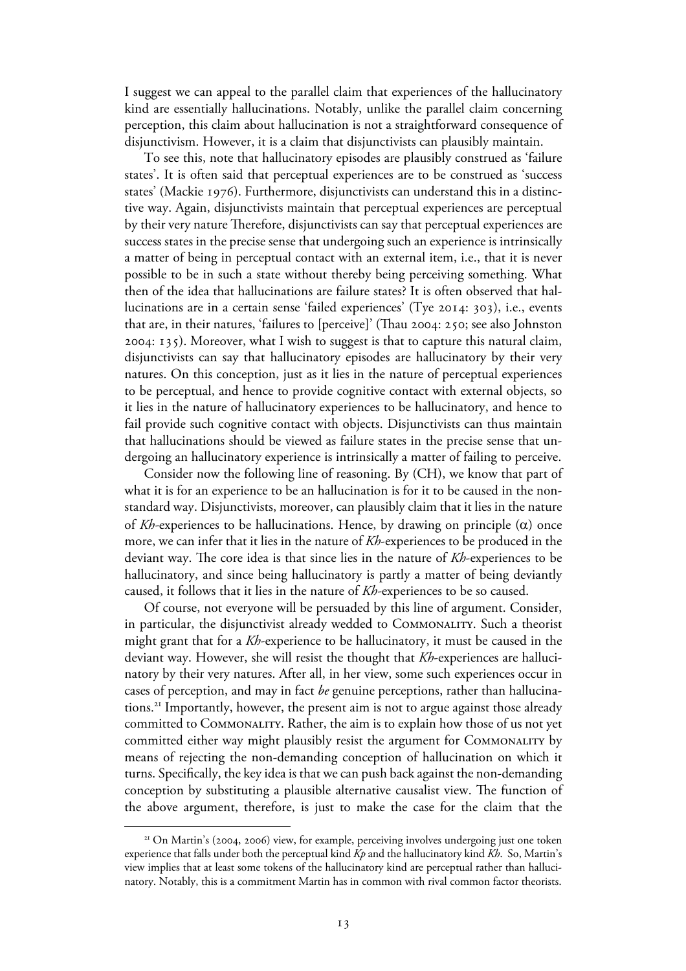I suggest we can appeal to the parallel claim that experiences of the hallucinatory kind are essentially hallucinations. Notably, unlike the parallel claim concerning perception, this claim about hallucination is not a straightforward consequence of disjunctivism. However, it is a claim that disjunctivists can plausibly maintain.

 To see this, note that hallucinatory episodes are plausibly construed as 'failure states'. It is often said that perceptual experiences are to be construed as 'success states' (Mackie 1976). Furthermore, disjunctivists can understand this in a distinctive way. Again, disjunctivists maintain that perceptual experiences are perceptual by their very nature Therefore, disjunctivists can say that perceptual experiences are success states in the precise sense that undergoing such an experience is intrinsically a matter of being in perceptual contact with an external item, i.e., that it is never possible to be in such a state without thereby being perceiving something. What then of the idea that hallucinations are failure states? It is often observed that hallucinations are in a certain sense 'failed experiences' (Tye 2014: 303), i.e., events that are, in their natures, 'failures to [perceive]' (Thau 2004: 250; see also Johnston : ). Moreover, what I wish to suggest is that to capture this natural claim, disjunctivists can say that hallucinatory episodes are hallucinatory by their very natures. On this conception, just as it lies in the nature of perceptual experiences to be perceptual, and hence to provide cognitive contact with external objects, so it lies in the nature of hallucinatory experiences to be hallucinatory, and hence to fail provide such cognitive contact with objects. Disjunctivists can thus maintain that hallucinations should be viewed as failure states in the precise sense that undergoing an hallucinatory experience is intrinsically a matter of failing to perceive.

 Consider now the following line of reasoning. By (CH), we know that part of what it is for an experience to be an hallucination is for it to be caused in the nonstandard way. Disjunctivists, moreover, can plausibly claim that it lies in the nature of *Kh-*experiences to be hallucinations. Hence, by drawing on principle (α) once more, we can infer that it lies in the nature of *Kh*-experiences to be produced in the deviant way. The core idea is that since lies in the nature of *Kh*-experiences to be hallucinatory, and since being hallucinatory is partly a matter of being deviantly caused, it follows that it lies in the nature of *Kh-*experiences to be so caused.

 Of course, not everyone will be persuaded by this line of argument. Consider, in particular, the disjunctivist already wedded to Commonality. Such a theorist might grant that for a *Kh*-experience to be hallucinatory, it must be caused in the deviant way. However, she will resist the thought that *Kh*-experiences are hallucinatory by their very natures. After all, in her view, some such experiences occur in cases of perception, and may in fact *be* genuine perceptions, rather than hallucinations. <sup>21</sup> Importantly, however, the present aim is not to argue against those already committed to Commonality. Rather, the aim is to explain how those of us not yet committed either way might plausibly resist the argument for Commonality by means of rejecting the non-demanding conception of hallucination on which it turns. Specifically, the key idea is that we can push back against the non-demanding conception by substituting a plausible alternative causalist view. The function of the above argument, therefore, is just to make the case for the claim that the

 $21$  On Martin's (2004, 2006) view, for example, perceiving involves undergoing just one token experience that falls under both the perceptual kind *Kp* and the hallucinatory kind *Kh*. So, Martin's view implies that at least some tokens of the hallucinatory kind are perceptual rather than hallucinatory. Notably, this is a commitment Martin has in common with rival common factor theorists.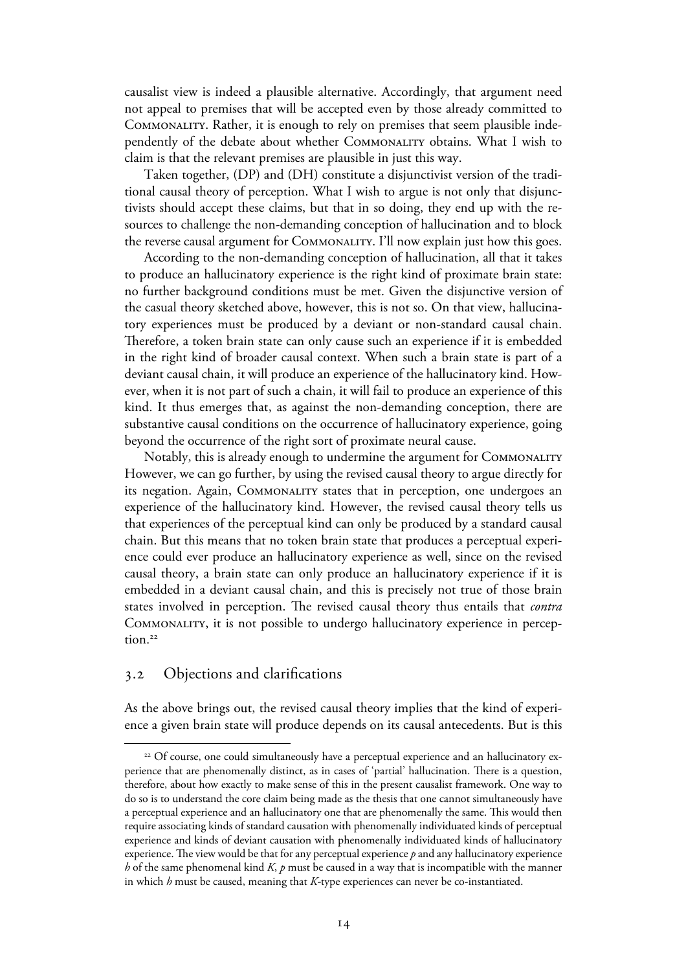causalist view is indeed a plausible alternative. Accordingly, that argument need not appeal to premises that will be accepted even by those already committed to Commonality. Rather, it is enough to rely on premises that seem plausible independently of the debate about whether Commonality obtains. What I wish to claim is that the relevant premises are plausible in just this way.

 Taken together, (DP) and (DH) constitute a disjunctivist version of the traditional causal theory of perception. What I wish to argue is not only that disjunctivists should accept these claims, but that in so doing, they end up with the resources to challenge the non-demanding conception of hallucination and to block the reverse causal argument for Commonality. I'll now explain just how this goes.

 According to the non-demanding conception of hallucination, all that it takes to produce an hallucinatory experience is the right kind of proximate brain state: no further background conditions must be met. Given the disjunctive version of the casual theory sketched above, however, this is not so. On that view, hallucinatory experiences must be produced by a deviant or non-standard causal chain. Therefore, a token brain state can only cause such an experience if it is embedded in the right kind of broader causal context. When such a brain state is part of a deviant causal chain, it will produce an experience of the hallucinatory kind. However, when it is not part of such a chain, it will fail to produce an experience of this kind. It thus emerges that, as against the non-demanding conception, there are substantive causal conditions on the occurrence of hallucinatory experience, going beyond the occurrence of the right sort of proximate neural cause.

 Notably, this is already enough to undermine the argument for Commonality However, we can go further, by using the revised causal theory to argue directly for its negation. Again, Commonality states that in perception, one undergoes an experience of the hallucinatory kind. However, the revised causal theory tells us that experiences of the perceptual kind can only be produced by a standard causal chain. But this means that no token brain state that produces a perceptual experience could ever produce an hallucinatory experience as well, since on the revised causal theory, a brain state can only produce an hallucinatory experience if it is embedded in a deviant causal chain, and this is precisely not true of those brain states involved in perception. The revised causal theory thus entails that *contra* Commonality, it is not possible to undergo hallucinatory experience in perception. 22

## . Objections and clarifications

As the above brings out, the revised causal theory implies that the kind of experience a given brain state will produce depends on its causal antecedents. But is this

<sup>&</sup>lt;sup>22</sup> Of course, one could simultaneously have a perceptual experience and an hallucinatory experience that are phenomenally distinct, as in cases of 'partial' hallucination. There is a question, therefore, about how exactly to make sense of this in the present causalist framework. One way to do so is to understand the core claim being made as the thesis that one cannot simultaneously have a perceptual experience and an hallucinatory one that are phenomenally the same. This would then require associating kinds of standard causation with phenomenally individuated kinds of perceptual experience and kinds of deviant causation with phenomenally individuated kinds of hallucinatory experience. The view would be that for any perceptual experience  $p$  and any hallucinatory experience *h* of the same phenomenal kind *K*, *p* must be caused in a way that is incompatible with the manner in which *h* must be caused, meaning that *K-*type experiences can never be co-instantiated.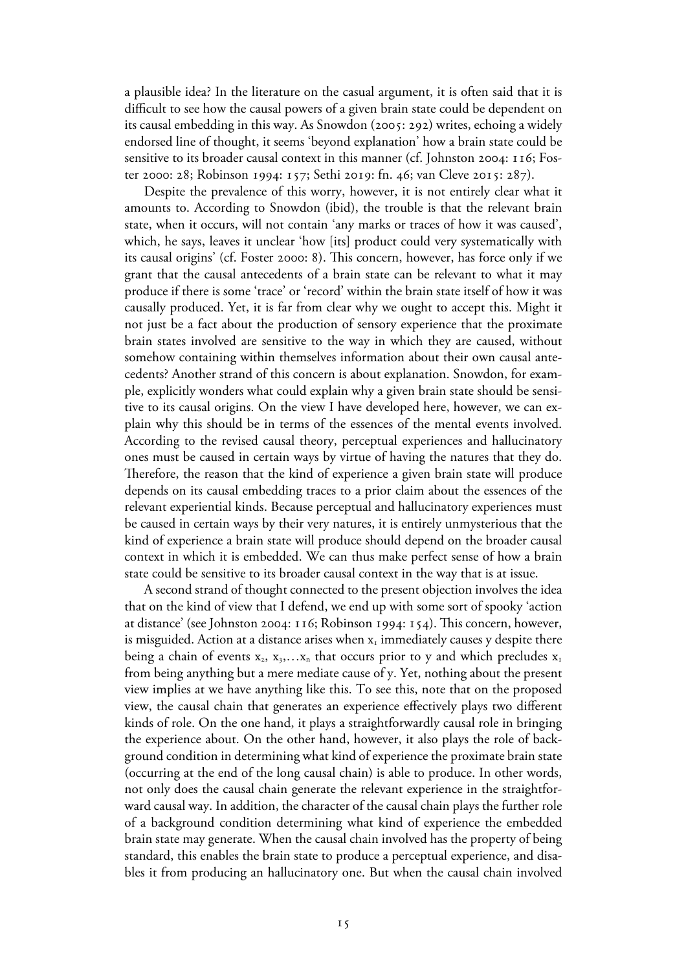a plausible idea? In the literature on the casual argument, it is often said that it is difficult to see how the causal powers of a given brain state could be dependent on its causal embedding in this way. As Snowdon (2005: 292) writes, echoing a widely endorsed line of thought, it seems 'beyond explanation' how a brain state could be sensitive to its broader causal context in this manner (cf. Johnston 2004:  $116$ ; Foster 2000: 28; Robinson 1994: 157; Sethi 2019: fn. 46; van Cleve 2015: 287).

Despite the prevalence of this worry, however, it is not entirely clear what it amounts to. According to Snowdon (ibid), the trouble is that the relevant brain state, when it occurs, will not contain 'any marks or traces of how it was caused', which, he says, leaves it unclear 'how [its] product could very systematically with its causal origins' (cf. Foster 2000: 8). This concern, however, has force only if we grant that the causal antecedents of a brain state can be relevant to what it may produce if there is some 'trace' or 'record' within the brain state itself of how it was causally produced. Yet, it is far from clear why we ought to accept this. Might it not just be a fact about the production of sensory experience that the proximate brain states involved are sensitive to the way in which they are caused, without somehow containing within themselves information about their own causal antecedents? Another strand of this concern is about explanation. Snowdon, for example, explicitly wonders what could explain why a given brain state should be sensitive to its causal origins. On the view I have developed here, however, we can explain why this should be in terms of the essences of the mental events involved. According to the revised causal theory, perceptual experiences and hallucinatory ones must be caused in certain ways by virtue of having the natures that they do. Therefore, the reason that the kind of experience a given brain state will produce depends on its causal embedding traces to a prior claim about the essences of the relevant experiential kinds. Because perceptual and hallucinatory experiences must be caused in certain ways by their very natures, it is entirely unmysterious that the kind of experience a brain state will produce should depend on the broader causal context in which it is embedded. We can thus make perfect sense of how a brain state could be sensitive to its broader causal context in the way that is at issue.

 A second strand of thought connected to the present objection involves the idea that on the kind of view that I defend, we end up with some sort of spooky 'action at distance' (see Johnston 2004: 116; Robinson 1994: 154). This concern, however, is misguided. Action at a distance arises when  $x_1$  immediately causes y despite there being a chain of events  $x_2, x_3, \ldots x_n$  that occurs prior to y and which precludes  $x_1$ from being anything but a mere mediate cause of y. Yet, nothing about the present view implies at we have anything like this. To see this, note that on the proposed view, the causal chain that generates an experience effectively plays two different kinds of role. On the one hand, it plays a straightforwardly causal role in bringing the experience about. On the other hand, however, it also plays the role of background condition in determining what kind of experience the proximate brain state (occurring at the end of the long causal chain) is able to produce. In other words, not only does the causal chain generate the relevant experience in the straightforward causal way. In addition, the character of the causal chain plays the further role of a background condition determining what kind of experience the embedded brain state may generate. When the causal chain involved has the property of being standard, this enables the brain state to produce a perceptual experience, and disables it from producing an hallucinatory one. But when the causal chain involved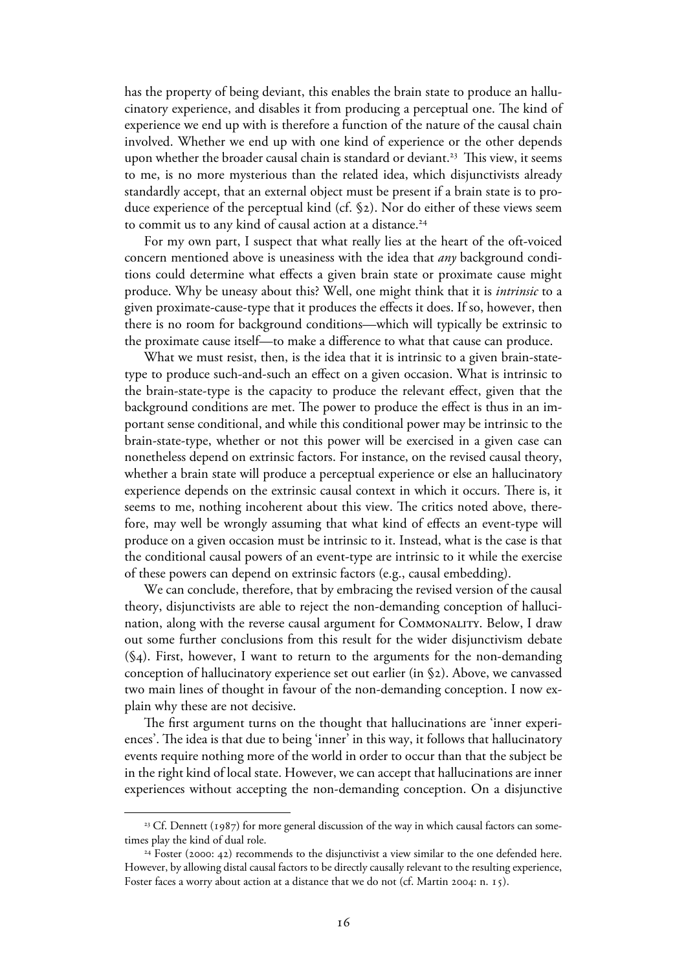has the property of being deviant, this enables the brain state to produce an hallucinatory experience, and disables it from producing a perceptual one. The kind of experience we end up with is therefore a function of the nature of the causal chain involved. Whether we end up with one kind of experience or the other depends upon whether the broader causal chain is standard or deviant.<sup>23</sup> This view, it seems to me, is no more mysterious than the related idea, which disjunctivists already standardly accept, that an external object must be present if a brain state is to produce experience of the perceptual kind (cf.  $\S$ 2). Nor do either of these views seem to commit us to any kind of causal action at a distance.<sup>24</sup>

For my own part, I suspect that what really lies at the heart of the oft-voiced concern mentioned above is uneasiness with the idea that *any* background conditions could determine what effects a given brain state or proximate cause might produce. Why be uneasy about this? Well, one might think that it is *intrinsic* to a given proximate-cause-type that it produces the effects it does. If so, however, then there is no room for background conditions—which will typically be extrinsic to the proximate cause itself—to make a difference to what that cause can produce.

 What we must resist, then, is the idea that it is intrinsic to a given brain-statetype to produce such-and-such an effect on a given occasion. What is intrinsic to the brain-state-type is the capacity to produce the relevant effect, given that the background conditions are met. The power to produce the effect is thus in an important sense conditional, and while this conditional power may be intrinsic to the brain-state-type, whether or not this power will be exercised in a given case can nonetheless depend on extrinsic factors. For instance, on the revised causal theory, whether a brain state will produce a perceptual experience or else an hallucinatory experience depends on the extrinsic causal context in which it occurs. There is, it seems to me, nothing incoherent about this view. The critics noted above, therefore, may well be wrongly assuming that what kind of effects an event-type will produce on a given occasion must be intrinsic to it. Instead, what is the case is that the conditional causal powers of an event-type are intrinsic to it while the exercise of these powers can depend on extrinsic factors (e.g., causal embedding).

 We can conclude, therefore, that by embracing the revised version of the causal theory, disjunctivists are able to reject the non-demanding conception of hallucination, along with the reverse causal argument for COMMONALITY. Below, I draw out some further conclusions from this result for the wider disjunctivism debate  $(\mathcal{S}_4)$ . First, however, I want to return to the arguments for the non-demanding conception of hallucinatory experience set out earlier (in §2). Above, we canvassed two main lines of thought in favour of the non-demanding conception. I now explain why these are not decisive.

 The first argument turns on the thought that hallucinations are 'inner experiences'. The idea is that due to being 'inner' in this way, it follows that hallucinatory events require nothing more of the world in order to occur than that the subject be in the right kind of local state. However, we can accept that hallucinations are inner experiences without accepting the non-demanding conception. On a disjunctive

<sup>&</sup>lt;sup>23</sup> Cf. Dennett (1987) for more general discussion of the way in which causal factors can sometimes play the kind of dual role.

 $24$  Foster (2000: 42) recommends to the disjunctivist a view similar to the one defended here. However, by allowing distal causal factors to be directly causally relevant to the resulting experience, Foster faces a worry about action at a distance that we do not (cf. Martin 2004: n. 15).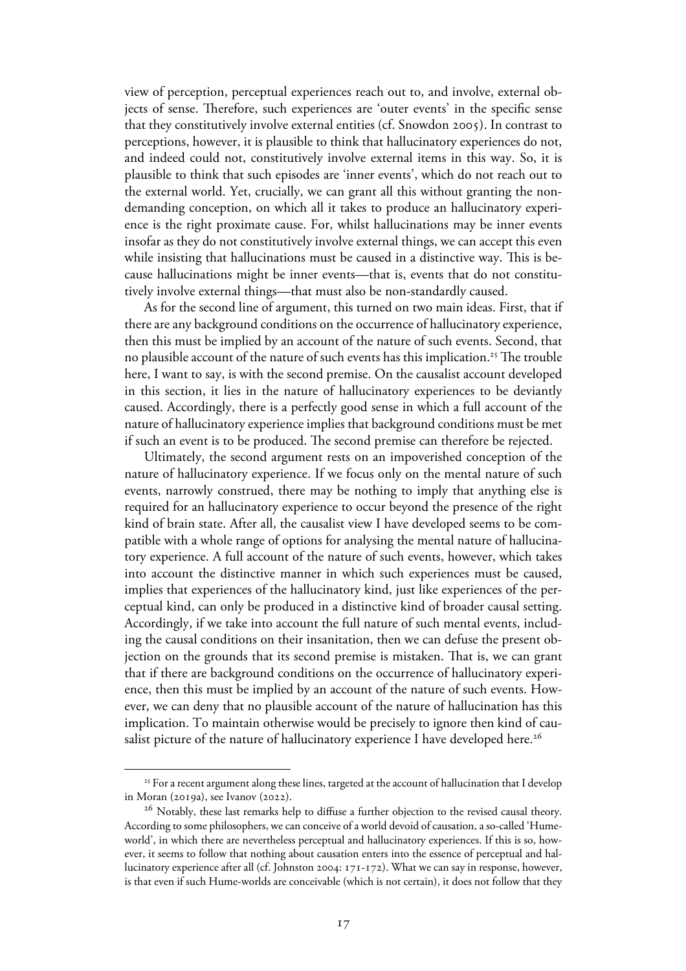view of perception, perceptual experiences reach out to, and involve, external objects of sense. Therefore, such experiences are 'outer events' in the specific sense that they constitutively involve external entities (cf. Snowdon 2005). In contrast to perceptions, however, it is plausible to think that hallucinatory experiences do not, and indeed could not, constitutively involve external items in this way. So, it is plausible to think that such episodes are 'inner events', which do not reach out to the external world. Yet, crucially, we can grant all this without granting the nondemanding conception, on which all it takes to produce an hallucinatory experience is the right proximate cause. For, whilst hallucinations may be inner events insofar as they do not constitutively involve external things, we can accept this even while insisting that hallucinations must be caused in a distinctive way. This is because hallucinations might be inner events—that is, events that do not constitutively involve external things—that must also be non-standardly caused.

As for the second line of argument, this turned on two main ideas. First, that if there are any background conditions on the occurrence of hallucinatory experience, then this must be implied by an account of the nature of such events. Second, that no plausible account of the nature of such events has this implication.<sup>25</sup> The trouble here, I want to say, is with the second premise. On the causalist account developed in this section, it lies in the nature of hallucinatory experiences to be deviantly caused. Accordingly, there is a perfectly good sense in which a full account of the nature of hallucinatory experience implies that background conditions must be met if such an event is to be produced. The second premise can therefore be rejected.

Ultimately, the second argument rests on an impoverished conception of the nature of hallucinatory experience. If we focus only on the mental nature of such events, narrowly construed, there may be nothing to imply that anything else is required for an hallucinatory experience to occur beyond the presence of the right kind of brain state. After all, the causalist view I have developed seems to be compatible with a whole range of options for analysing the mental nature of hallucinatory experience. A full account of the nature of such events, however, which takes into account the distinctive manner in which such experiences must be caused, implies that experiences of the hallucinatory kind, just like experiences of the perceptual kind, can only be produced in a distinctive kind of broader causal setting. Accordingly, if we take into account the full nature of such mental events, including the causal conditions on their insanitation, then we can defuse the present objection on the grounds that its second premise is mistaken. That is, we can grant that if there are background conditions on the occurrence of hallucinatory experience, then this must be implied by an account of the nature of such events. However, we can deny that no plausible account of the nature of hallucination has this implication. To maintain otherwise would be precisely to ignore then kind of causalist picture of the nature of hallucinatory experience I have developed here.<sup>26</sup>

<sup>&</sup>lt;sup>25</sup> For a recent argument along these lines, targeted at the account of hallucination that I develop in Moran (2019a), see Ivanov (2022).

<sup>&</sup>lt;sup>26</sup> Notably, these last remarks help to diffuse a further objection to the revised causal theory. According to some philosophers, we can conceive of a world devoid of causation, a so-called 'Humeworld', in which there are nevertheless perceptual and hallucinatory experiences. If this is so, however, it seems to follow that nothing about causation enters into the essence of perceptual and hallucinatory experience after all (cf. Johnston 2004: 171-172). What we can say in response, however, is that even if such Hume-worlds are conceivable (which is not certain), it does not follow that they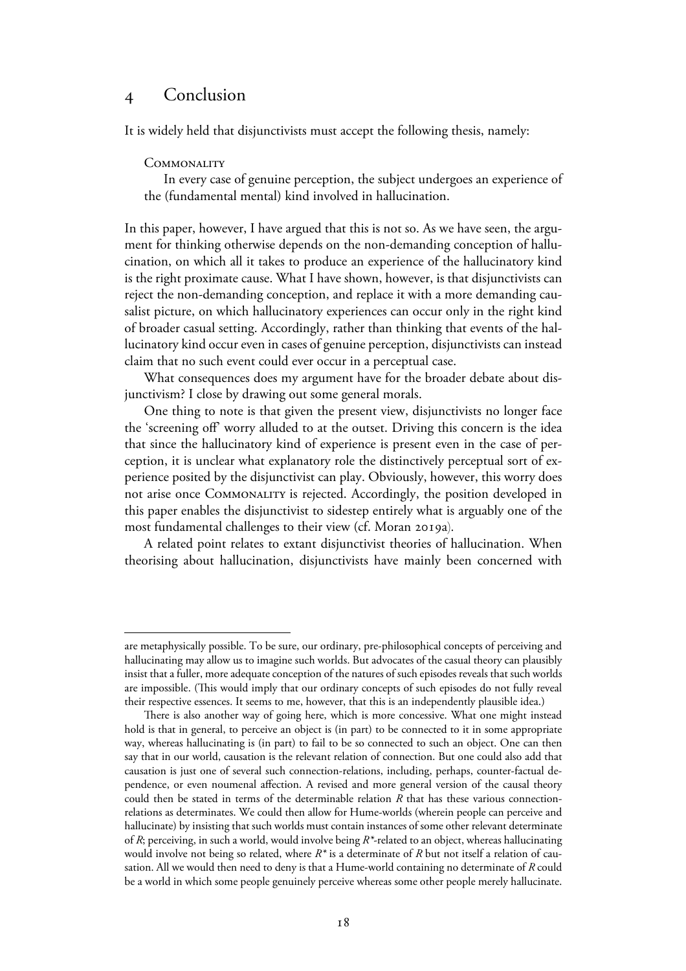# Conclusion

It is widely held that disjunctivists must accept the following thesis, namely:

#### **COMMONALITY**

In every case of genuine perception, the subject undergoes an experience of the (fundamental mental) kind involved in hallucination.

In this paper, however, I have argued that this is not so. As we have seen, the argument for thinking otherwise depends on the non-demanding conception of hallucination, on which all it takes to produce an experience of the hallucinatory kind is the right proximate cause. What I have shown, however, is that disjunctivists can reject the non-demanding conception, and replace it with a more demanding causalist picture, on which hallucinatory experiences can occur only in the right kind of broader casual setting. Accordingly, rather than thinking that events of the hallucinatory kind occur even in cases of genuine perception, disjunctivists can instead claim that no such event could ever occur in a perceptual case.

 What consequences does my argument have for the broader debate about disjunctivism? I close by drawing out some general morals.

 One thing to note is that given the present view, disjunctivists no longer face the 'screening off' worry alluded to at the outset. Driving this concern is the idea that since the hallucinatory kind of experience is present even in the case of perception, it is unclear what explanatory role the distinctively perceptual sort of experience posited by the disjunctivist can play. Obviously, however, this worry does not arise once Commonality is rejected. Accordingly, the position developed in this paper enables the disjunctivist to sidestep entirely what is arguably one of the most fundamental challenges to their view (cf. Moran 2019a).

A related point relates to extant disjunctivist theories of hallucination. When theorising about hallucination, disjunctivists have mainly been concerned with

are metaphysically possible. To be sure, our ordinary, pre-philosophical concepts of perceiving and hallucinating may allow us to imagine such worlds. But advocates of the casual theory can plausibly insist that a fuller, more adequate conception of the natures of such episodes reveals that such worlds are impossible. (This would imply that our ordinary concepts of such episodes do not fully reveal their respective essences. It seems to me, however, that this is an independently plausible idea.)

There is also another way of going here, which is more concessive. What one might instead hold is that in general, to perceive an object is (in part) to be connected to it in some appropriate way, whereas hallucinating is (in part) to fail to be so connected to such an object. One can then say that in our world, causation is the relevant relation of connection. But one could also add that causation is just one of several such connection-relations, including, perhaps, counter-factual dependence, or even noumenal affection. A revised and more general version of the causal theory could then be stated in terms of the determinable relation *R* that has these various connectionrelations as determinates. We could then allow for Hume-worlds (wherein people can perceive and hallucinate) by insisting that such worlds must contain instances of some other relevant determinate of *R*; perceiving, in such a world, would involve being *R\**-related to an object, whereas hallucinating would involve not being so related, where *R\** is a determinate of *R* but not itself a relation of causation. All we would then need to deny is that a Hume-world containing no determinate of *R* could be a world in which some people genuinely perceive whereas some other people merely hallucinate.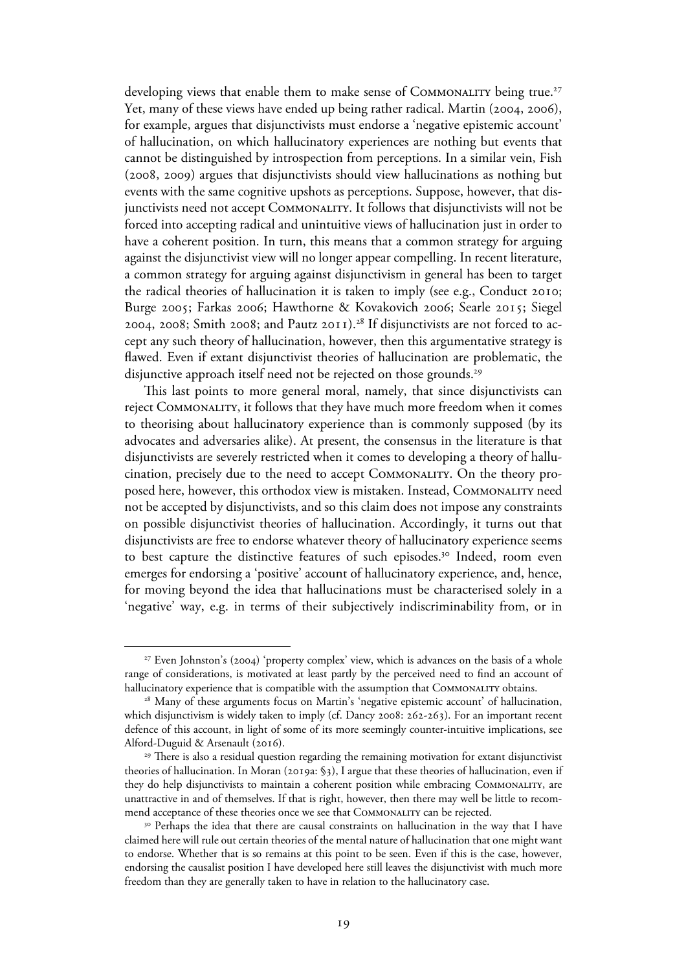developing views that enable them to make sense of COMMONALITY being true.<sup>27</sup> Yet, many of these views have ended up being rather radical. Martin (2004, 2006), for example, argues that disjunctivists must endorse a 'negative epistemic account' of hallucination, on which hallucinatory experiences are nothing but events that cannot be distinguished by introspection from perceptions. In a similar vein, Fish  $(2008, 2009)$  argues that disjunctivists should view hallucinations as nothing but events with the same cognitive upshots as perceptions. Suppose, however, that disjunctivists need not accept Commonality. It follows that disjunctivists will not be forced into accepting radical and unintuitive views of hallucination just in order to have a coherent position. In turn, this means that a common strategy for arguing against the disjunctivist view will no longer appear compelling. In recent literature, a common strategy for arguing against disjunctivism in general has been to target the radical theories of hallucination it is taken to imply (see e.g., Conduct 2010; Burge 2005; Farkas 2006; Hawthorne & Kovakovich 2006; Searle 2015; Siegel 2004, 2008; Smith 2008; and Pautz 2011).<sup>28</sup> If disjunctivists are not forced to accept any such theory of hallucination, however, then this argumentative strategy is flawed. Even if extant disjunctivist theories of hallucination are problematic, the disjunctive approach itself need not be rejected on those grounds.<sup>29</sup>

 This last points to more general moral, namely, that since disjunctivists can reject Commonality, it follows that they have much more freedom when it comes to theorising about hallucinatory experience than is commonly supposed (by its advocates and adversaries alike). At present, the consensus in the literature is that disjunctivists are severely restricted when it comes to developing a theory of hallucination, precisely due to the need to accept Commonality. On the theory proposed here, however, this orthodox view is mistaken. Instead, Commonality need not be accepted by disjunctivists, and so this claim does not impose any constraints on possible disjunctivist theories of hallucination. Accordingly, it turns out that disjunctivists are free to endorse whatever theory of hallucinatory experience seems to best capture the distinctive features of such episodes.<sup>30</sup> Indeed, room even emerges for endorsing a 'positive' account of hallucinatory experience, and, hence, for moving beyond the idea that hallucinations must be characterised solely in a 'negative' way, e.g. in terms of their subjectively indiscriminability from, or in

 $27$  Even Johnston's (2004) 'property complex' view, which is advances on the basis of a whole range of considerations, is motivated at least partly by the perceived need to find an account of hallucinatory experience that is compatible with the assumption that COMMONALITY obtains.

<sup>&</sup>lt;sup>28</sup> Many of these arguments focus on Martin's 'negative epistemic account' of hallucination, which disjunctivism is widely taken to imply (cf. Dancy 2008:  $262-263$ ). For an important recent defence of this account, in light of some of its more seemingly counter-intuitive implications, see Alford-Duguid & Arsenault (2016).

<sup>&</sup>lt;sup>29</sup> There is also a residual question regarding the remaining motivation for extant disjunctivist theories of hallucination. In Moran (2019a: §3), I argue that these theories of hallucination, even if they do help disjunctivists to maintain a coherent position while embracingCommonality, are unattractive in and of themselves. If that is right, however, then there may well be little to recommend acceptance of these theories once we see that Commonality can be rejected.

<sup>&</sup>lt;sup>30</sup> Perhaps the idea that there are causal constraints on hallucination in the way that I have claimed here will rule out certain theories of the mental nature of hallucination that one might want to endorse. Whether that is so remains at this point to be seen. Even if this is the case, however, endorsing the causalist position I have developed here still leaves the disjunctivist with much more freedom than they are generally taken to have in relation to the hallucinatory case.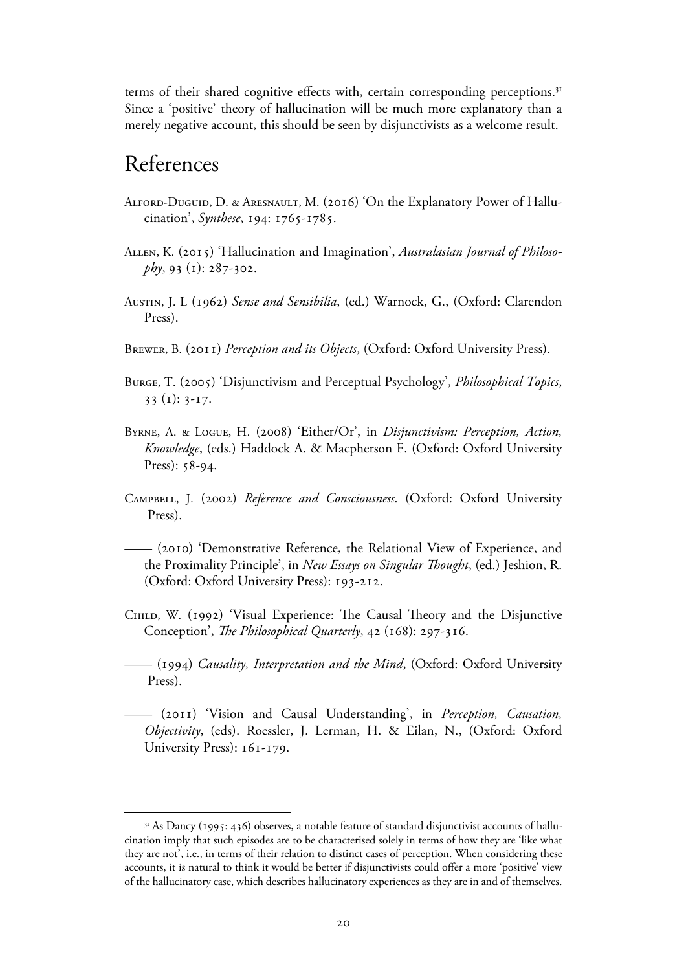terms of their shared cognitive effects with, certain corresponding perceptions.<sup>31</sup> Since a 'positive' theory of hallucination will be much more explanatory than a merely negative account, this should be seen by disjunctivists as a welcome result.

# References

- ALFORD-DUGUID, D. & ARESNAULT, M. (2016) 'On the Explanatory Power of Hallucination', Synthese, 194: 1765-1785.
- ALLEN, K. (2015) 'Hallucination and Imagination', *Australasian Journal of Philoso* $phy, 93 (1): 287-302.$
- Austin, J. L () *Sense and Sensibilia*, (ed.) Warnock, G., (Oxford: Clarendon Press).
- BREWER, B. (2011) *Perception and its Objects*, (Oxford: Oxford University Press).
- BURGE, T. (2005) 'Disjunctivism and Perceptual Psychology', *Philosophical Topics*,  $33$  (1):  $3-17$ .
- BYRNE, A. & LOGUE, H. (2008) 'Either/Or', in *Disjunctivism: Perception, Action, Knowledge*, (eds.) Haddock A. & Macpherson F. (Oxford: Oxford University  $Press): 58-94.$
- Campbell, J. () *Reference and Consciousness*. (Oxford: Oxford University Press).
- —— () 'Demonstrative Reference, the Relational View of Experience, and the Proximality Principle', in *New Essays on Singular Thought*, (ed.) Jeshion, R. (Oxford: Oxford University Press): 193-212.
- CHILD, W. (1992) 'Visual Experience: The Causal Theory and the Disjunctive Conception', *The Philosophical Quarterly*, 42 (168): 297-316.
- —— () *Causality, Interpretation and the Mind*, (Oxford: Oxford University Press).
- —— () 'Vision and Causal Understanding', in *Perception, Causation, Objectivity*, (eds). Roessler, J. Lerman, H. & Eilan, N., (Oxford: Oxford University Press):  $161-179$ .

<sup>&</sup>lt;sup>31</sup> As Dancy (1995: 436) observes, a notable feature of standard disjunctivist accounts of hallucination imply that such episodes are to be characterised solely in terms of how they are 'like what they are not', i.e., in terms of their relation to distinct cases of perception. When considering these accounts, it is natural to think it would be better if disjunctivists could offer a more 'positive' view of the hallucinatory case, which describes hallucinatory experiences as they are in and of themselves.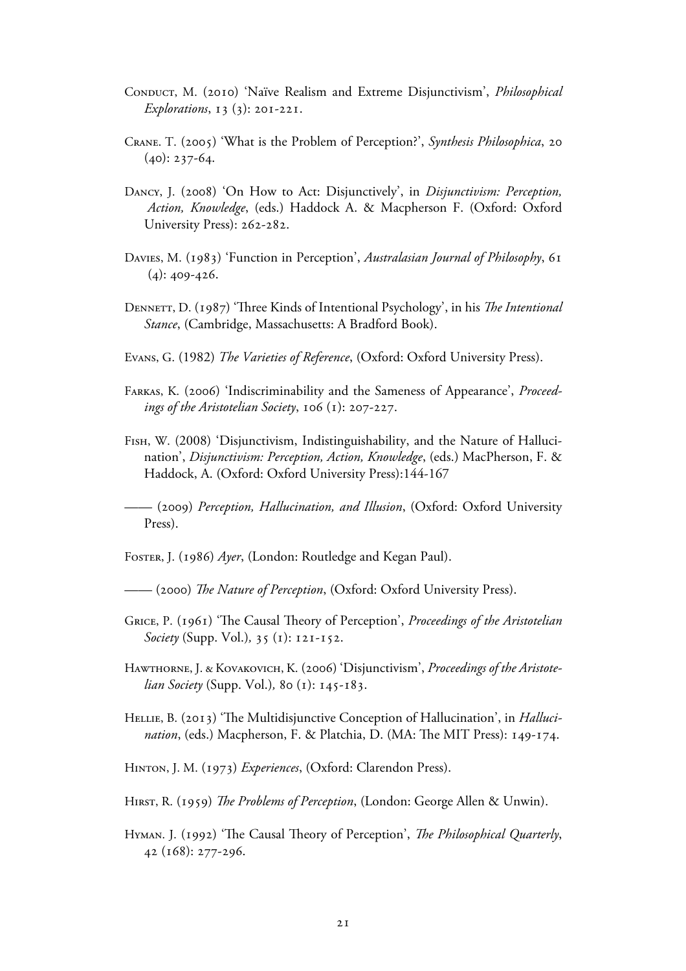- CONDUCT, M. (2010) 'Naïve Realism and Extreme Disjunctivism', *Philosophical*  $Explorations, 13 (3): 20I-22I.$
- CRANE. T. (2005) 'What is the Problem of Perception?', Synthesis Philosophica, 20  $(40): 237-64.$
- DANCY, J. (2008) 'On How to Act: Disjunctively', in *Disjunctivism: Perception*,  *Action, Knowledge*, (eds.) Haddock A. & Macpherson F. (Oxford: Oxford University Press): 262-282.
- DAVIES, M. (1983) 'Function in Perception', *Australasian Journal of Philosophy*, 61  $(4): 409 - 426.$
- DENNETT, D. (1987) 'Three Kinds of Intentional Psychology', in his *The Intentional Stance*, (Cambridge, Massachusetts: A Bradford Book).
- Evans, G. (1982) *The Varieties of Reference*, (Oxford: Oxford University Press).
- Farkas, K. () 'Indiscriminability and the Sameness of Appearance', *Proceed ings of the Aristotelian Society*,  $106$  ( $1$ ):  $207-227$ .
- Fish, W. (2008) 'Disjunctivism, Indistinguishability, and the Nature of Halluci nation', *Disjunctivism: Perception, Action, Knowledge*, (eds.) MacPherson, F. & Haddock, A. (Oxford: Oxford University Press):144-167

—— () *Perception, Hallucination, and Illusion*, (Oxford: Oxford University Press).

Foster, J. (1986) Ayer, (London: Routledge and Kegan Paul).

—— () *The Nature of Perception*, (Oxford: Oxford University Press).

- GRICE, P. (1961) 'The Causal Theory of Perception', *Proceedings of the Aristotelian Society* (Supp. Vol.), 35 (1): 121-152.
- HAWTHORNE, J. & KOVAKOVICH, K. (2006) 'Disjunctivism', *Proceedings of the Aristotelian Society* (Supp. Vol.), 80 (1): 145-183.
- Hellie, B. (2013) 'The Multidisjunctive Conception of Hallucination', in *Hallucination*, (eds.) Macpherson, F. & Platchia, D. (MA: The MIT Press): 149-174.
- HINTON, J. M. (1973) *Experiences*, (Oxford: Clarendon Press).
- HIRST, R. (1959) The Problems of Perception, (London: George Allen & Unwin).
- Hyman. J. (1992) 'The Causal Theory of Perception', *The Philosophical Quarterly*, 42 (168): 277-296.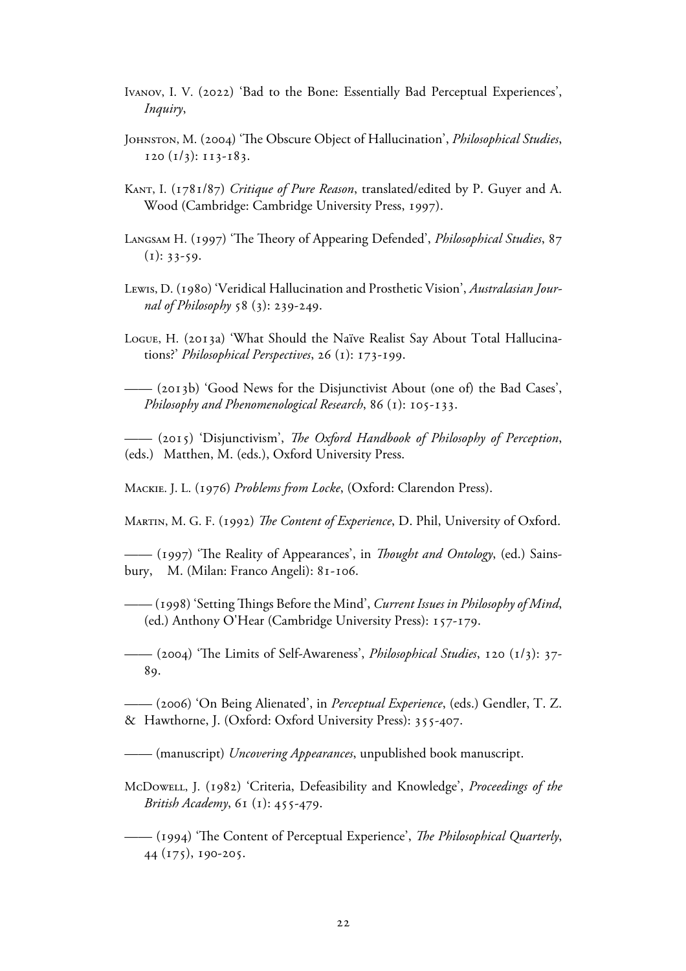- IVANOV, I. V. (2022) 'Bad to the Bone: Essentially Bad Perceptual Experiences', *Inquiry*,
- JOHNSTON, M. (2004) 'The Obscure Object of Hallucination', *Philosophical Studies*,  $120 (1/3): 113-183.$
- KANT, I. (1781/87) *Critique of Pure Reason*, translated/edited by P. Guyer and A. Wood (Cambridge: Cambridge University Press, 1997).
- LANGSAM H. (1997) 'The Theory of Appearing Defended', *Philosophical Studies*, 87  $(i): 33-59.$
- Lewis, D. (1980) 'Veridical Hallucination and Prosthetic Vision', *Australasian Journal of Philosophy* 58 (3): 239-249.
- Logue, H. (2013a) 'What Should the Naïve Realist Say About Total Hallucinations?' *Philosophical Perspectives*, 26 (1): 173-199.

—— (b) 'Good News for the Disjunctivist About (one of) the Bad Cases', *Philosophy and Phenomenological Research*, 86 (1): 105-133.

—— () 'Disjunctivism', *The Oxford Handbook of Philosophy of Perception*, (eds.) Matthen, M. (eds.), Oxford University Press.

MACKIE. J. L. (1976) *Problems from Locke*, (Oxford: Clarendon Press).

MARTIN, M. G. F. (1992) *The Content of Experience*, D. Phil, University of Oxford.

—— () 'The Reality of Appearances', in *Thought and Ontology*, (ed.) Sainsbury, M. (Milan: Franco Angeli): 81-106.

—— () 'Setting Things Before the Mind', *Current Issues in Philosophy of Mind*, (ed.) Anthony O'Hear (Cambridge University Press):  $157-179$ .

 $-$  (2004) 'The Limits of Self-Awareness', *Philosophical Studies*, 120 (1/3): 37-89.

—— () 'On Being Alienated', in *Perceptual Experience*, (eds.) Gendler, T. Z. & Hawthorne, J. (Oxford: Oxford University Press): 355-407.

—— (manuscript) *Uncovering Appearances*, unpublished book manuscript.

McDowell, J. (1982) 'Criteria, Defeasibility and Knowledge', *Proceedings of the British Academy*, 61 (1): 455-479.

—— () 'The Content of Perceptual Experience', *The Philosophical Quarterly*,  $44$  (175), 190-205.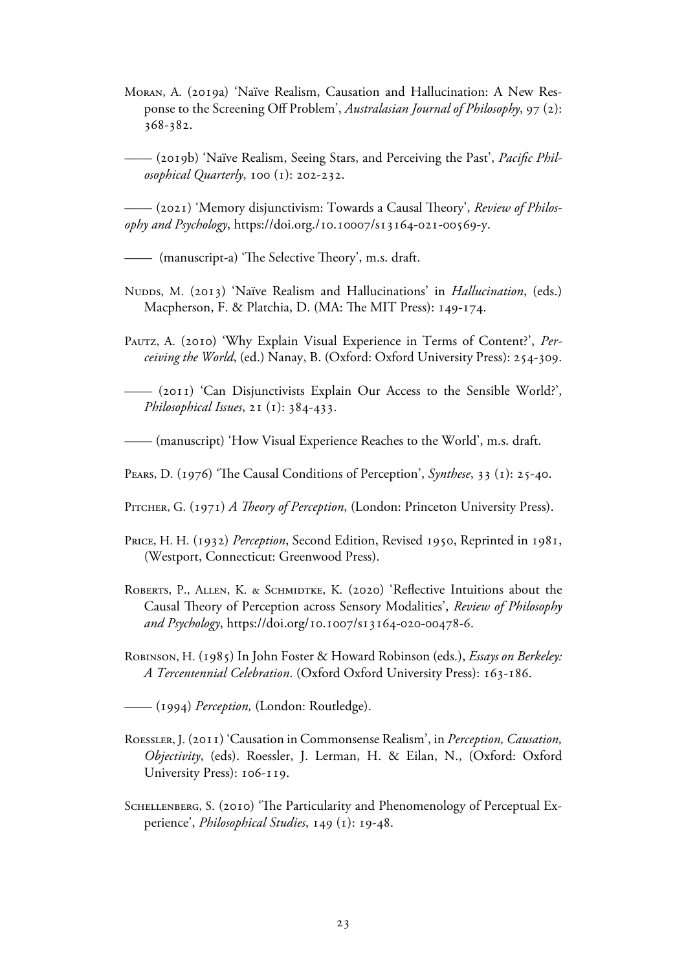Moran, A. (2019a) 'Naïve Realism, Causation and Hallucination: A New Response to the Screening Off Problem', *Australasian Journal of Philosophy*, 97 (2): 368-382.

—— (b) 'Naïve Realism, Seeing Stars, and Perceiving the Past', *Pacific Phil osophical Quarterly*,  $100 (1)$ :  $202-232$ .

 $-$  (2021) 'Memory disjunctivism: Towards a Causal Theory', *Review of Philos*ophy and Psychology, https://doi.org./10.10007/s13164-021-00569-y.

—— (manuscript-a) 'The Selective Theory', m.s. draft.

- Nupps, M. (2013) 'Naïve Realism and Hallucinations' in *Hallucination*, (eds.) Macpherson, F. & Platchia, D. (MA: The MIT Press): 149-174.
- Pautz, A. (2010) 'Why Explain Visual Experience in Terms of Content?', *Perceiving the World*, (ed.) Nanay, B. (Oxford: Oxford University Press): 254-309.

—— () 'Can Disjunctivists Explain Our Access to the Sensible World?', *Philosophical Issues*, 21 (1): 384-433.

—— (manuscript) 'How Visual Experience Reaches to the World', m.s. draft.

PEARS, D. (1976) 'The Causal Conditions of Perception', *Synthese*, 33 (1): 25-40.

PITCHER, G. (1971) *A Theory of Perception*, (London: Princeton University Press).

- PRICE, H. H. (1932) *Perception*, Second Edition, Revised 1950, Reprinted in 1981, (Westport, Connecticut: Greenwood Press).
- ROBERTS, P., ALLEN, K. & SCHMIDTKE, K. (2020) 'Reflective Intuitions about the Causal Theory of Perception across Sensory Modalities', *Review of Philosophy*  and Psychology, https://doi.org/10.1007/s13164-020-00478-6.
- Robinson, H. () In John Foster & Howard Robinson (eds.), *Essays on Berkeley: A Tercentennial Celebration*. (Oxford Oxford University Press): 163-186.

—— () *Perception,* (London: Routledge).

- ROESSLER, J. (2011) 'Causation in Commonsense Realism', in *Perception, Causation*,  *Objectivity*, (eds). Roessler, J. Lerman, H. & Eilan, N., (Oxford: Oxford University Press): 106-119.
- SCHELLENBERG, S. (2010) 'The Particularity and Phenomenology of Perceptual Experience', *Philosophical Studies*, 149 (1): 19-48.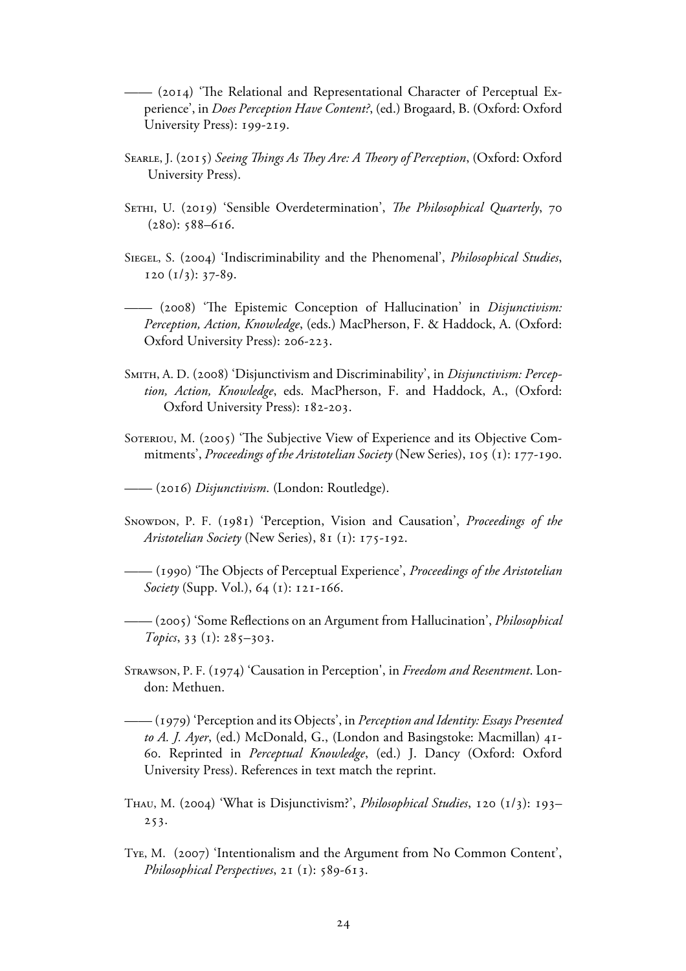—— () 'The Relational and Representational Character of Perceptual Ex perience', in *Does Perception Have Content?*, (ed.) Brogaard, B. (Oxford: Oxford University Press): 199-219.

- SEARLE, J. (2015) *Seeing Things As They Are: A Theory of Perception*, (Oxford: Oxford University Press).
- SETHI, U. (2019) 'Sensible Overdetermination', *The Philosophical Quarterly*, 70  $(280): 588 - 616.$
- SIEGEL, S. (2004) 'Indiscriminability and the Phenomenal', *Philosophical Studies*,  $120 (1/3): 37-89.$
- —— () 'The Epistemic Conception of Hallucination' in *Disjunctivism: Perception, Action, Knowledge*, (eds.) MacPherson, F. & Haddock, A. (Oxford: Oxford University Press): 206-223.
- SMITH, A. D. (2008) 'Disjunctivism and Discriminability', in *Disjunctivism: Percep tion, Action, Knowledge*, eds. MacPherson, F. and Haddock, A., (Oxford: Oxford University Press): 182-203.
- SOTERIOU, M. (2005) 'The Subjective View of Experience and its Objective Commitments', *Proceedings of the Aristotelian Society* (New Series), 105 (1): 177-190.
- —— () *Disjunctivism*. (London: Routledge).
- Snowdon, P. F. (1981) 'Perception, Vision and Causation', *Proceedings of the Aristotelian Society* (New Series), 81 (1): 175-192.
- —— () 'The Objects of Perceptual Experience', *Proceedings of the Aristotelian Society* (Supp. Vol.), 64 (1): 121-166.
- —— () 'Some Reflections on an Argument from Hallucination', *Philosophical Topics*,  $33 \text{ (1)}$ :  $285 - 303$ .
- STRAWSON, P. F. (1974) 'Causation in Perception', in *Freedom and Resentment*. London: Methuen.
- —— () 'Perception and its Objects', in *Perception and Identity: Essays Presented*  to A. J. Ayer, (ed.) McDonald, G., (London and Basingstoke: Macmillan) 41- . Reprinted in *Perceptual Knowledge*, (ed.) J. Dancy (Oxford: Oxford University Press). References in text match the reprint.
- THAU, M. (2004) 'What is Disjunctivism?', *Philosophical Studies*,  $120 (1/3)$ :  $193 253.$
- TYE, M. (2007) 'Intentionalism and the Argument from No Common Content', *Philosophical Perspectives*, 21 (1): 589-613.